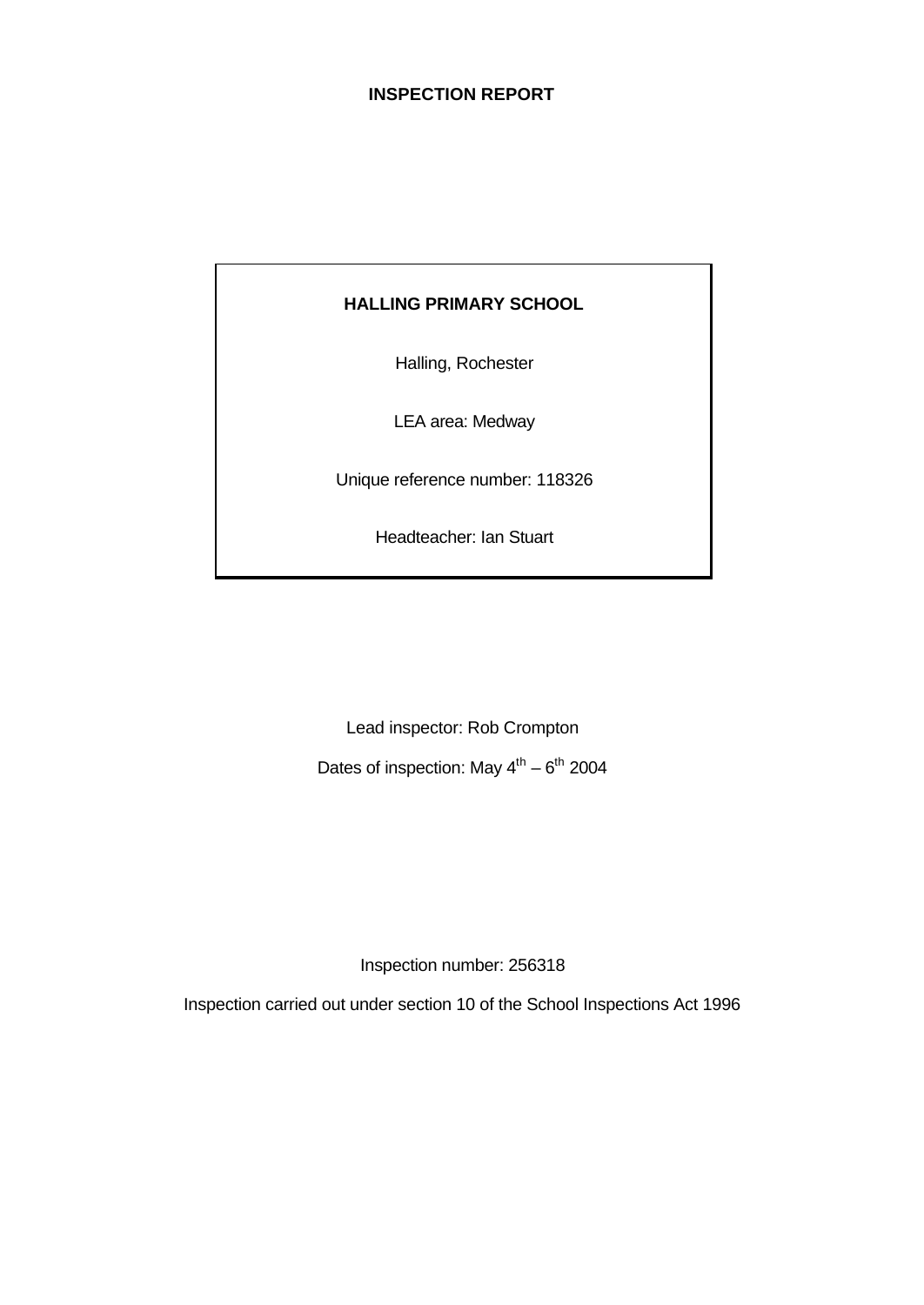# **INSPECTION REPORT**

# **HALLING PRIMARY SCHOOL**

Halling, Rochester

LEA area: Medway

Unique reference number: 118326

Headteacher: Ian Stuart

Lead inspector: Rob Crompton

Dates of inspection: May  $4^{\text{th}} - 6^{\text{th}}$  2004

Inspection number: 256318

Inspection carried out under section 10 of the School Inspections Act 1996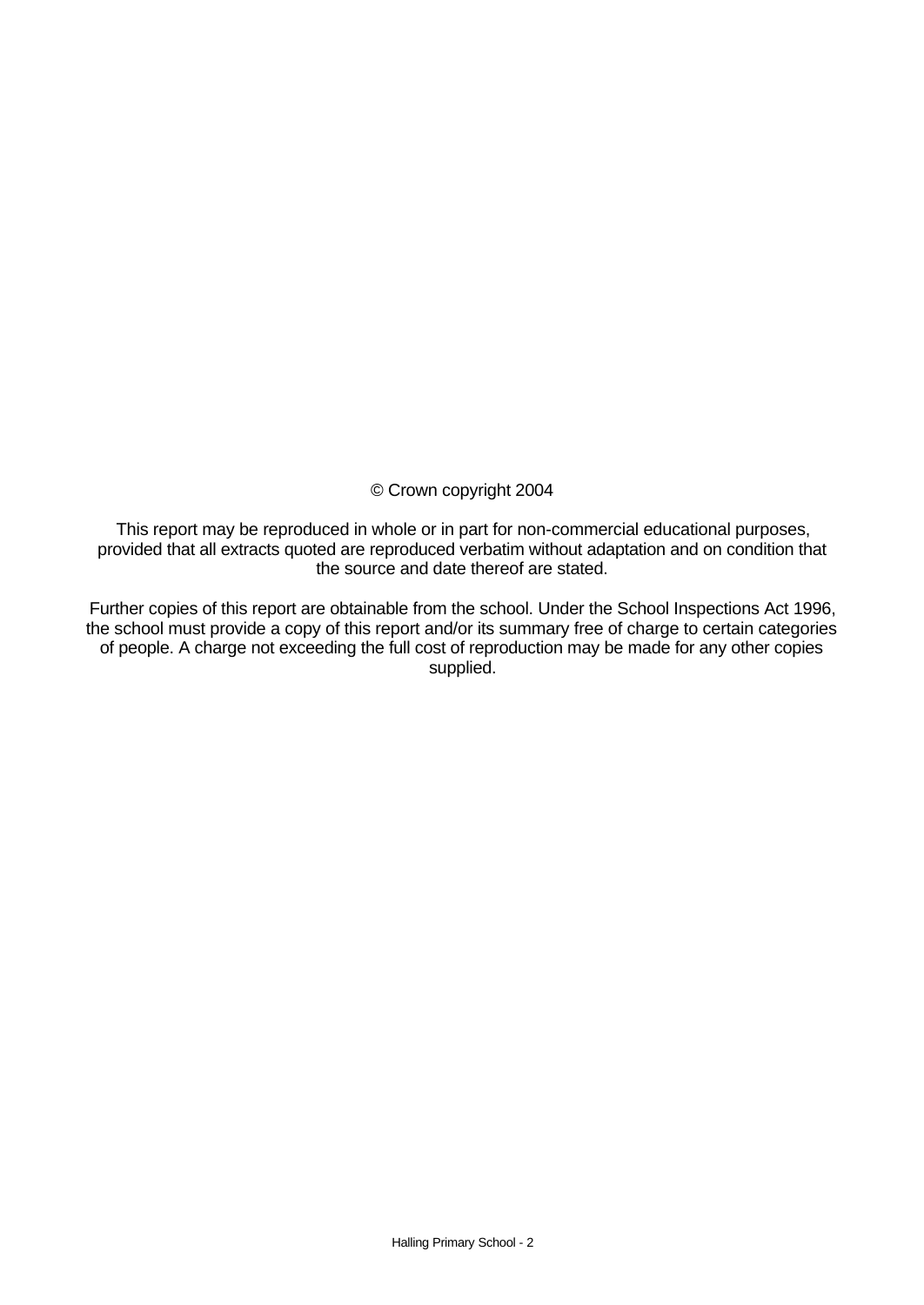# © Crown copyright 2004

This report may be reproduced in whole or in part for non-commercial educational purposes, provided that all extracts quoted are reproduced verbatim without adaptation and on condition that the source and date thereof are stated.

Further copies of this report are obtainable from the school. Under the School Inspections Act 1996, the school must provide a copy of this report and/or its summary free of charge to certain categories of people. A charge not exceeding the full cost of reproduction may be made for any other copies supplied.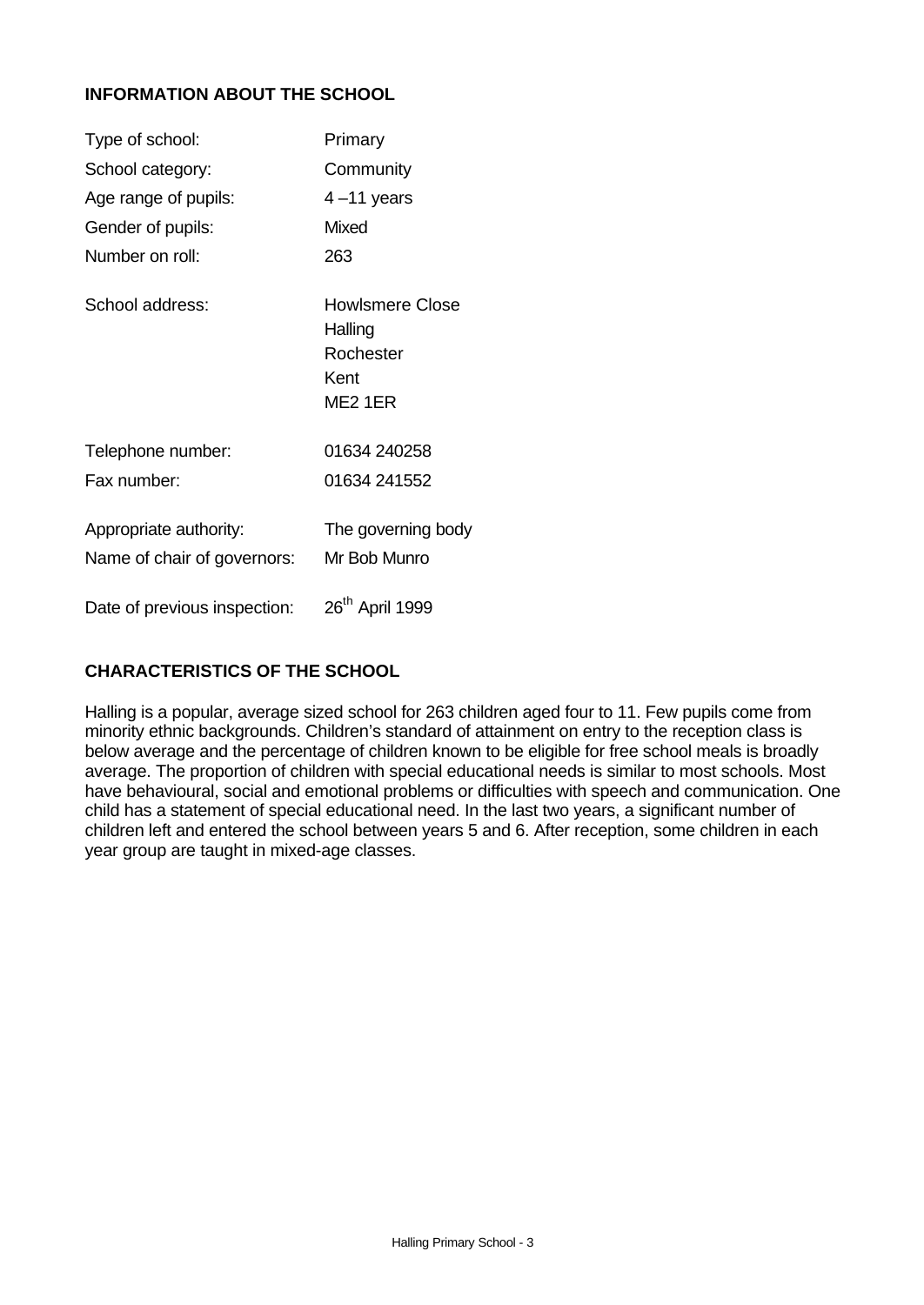# **INFORMATION ABOUT THE SCHOOL**

| Type of school:                                       | Primary                                                           |
|-------------------------------------------------------|-------------------------------------------------------------------|
| School category:                                      | Community                                                         |
| Age range of pupils:                                  | $4 - 11$ years                                                    |
| Gender of pupils:                                     | <b>Mixed</b>                                                      |
| Number on roll:                                       | 263                                                               |
| School address:                                       | <b>Howlsmere Close</b><br>Halling<br>Rochester<br>Kent<br>ME2 1ER |
| Telephone number:                                     | 01634 240258                                                      |
| Fax number:                                           | 01634 241552                                                      |
| Appropriate authority:<br>Name of chair of governors: | The governing body<br>Mr Bob Munro                                |
| Date of previous inspection:                          | 26 <sup>th</sup> April 1999                                       |

# **CHARACTERISTICS OF THE SCHOOL**

Halling is a popular, average sized school for 263 children aged four to 11. Few pupils come from minority ethnic backgrounds. Children's standard of attainment on entry to the reception class is below average and the percentage of children known to be eligible for free school meals is broadly average. The proportion of children with special educational needs is similar to most schools. Most have behavioural, social and emotional problems or difficulties with speech and communication. One child has a statement of special educational need. In the last two years, a significant number of children left and entered the school between years 5 and 6. After reception, some children in each year group are taught in mixed-age classes.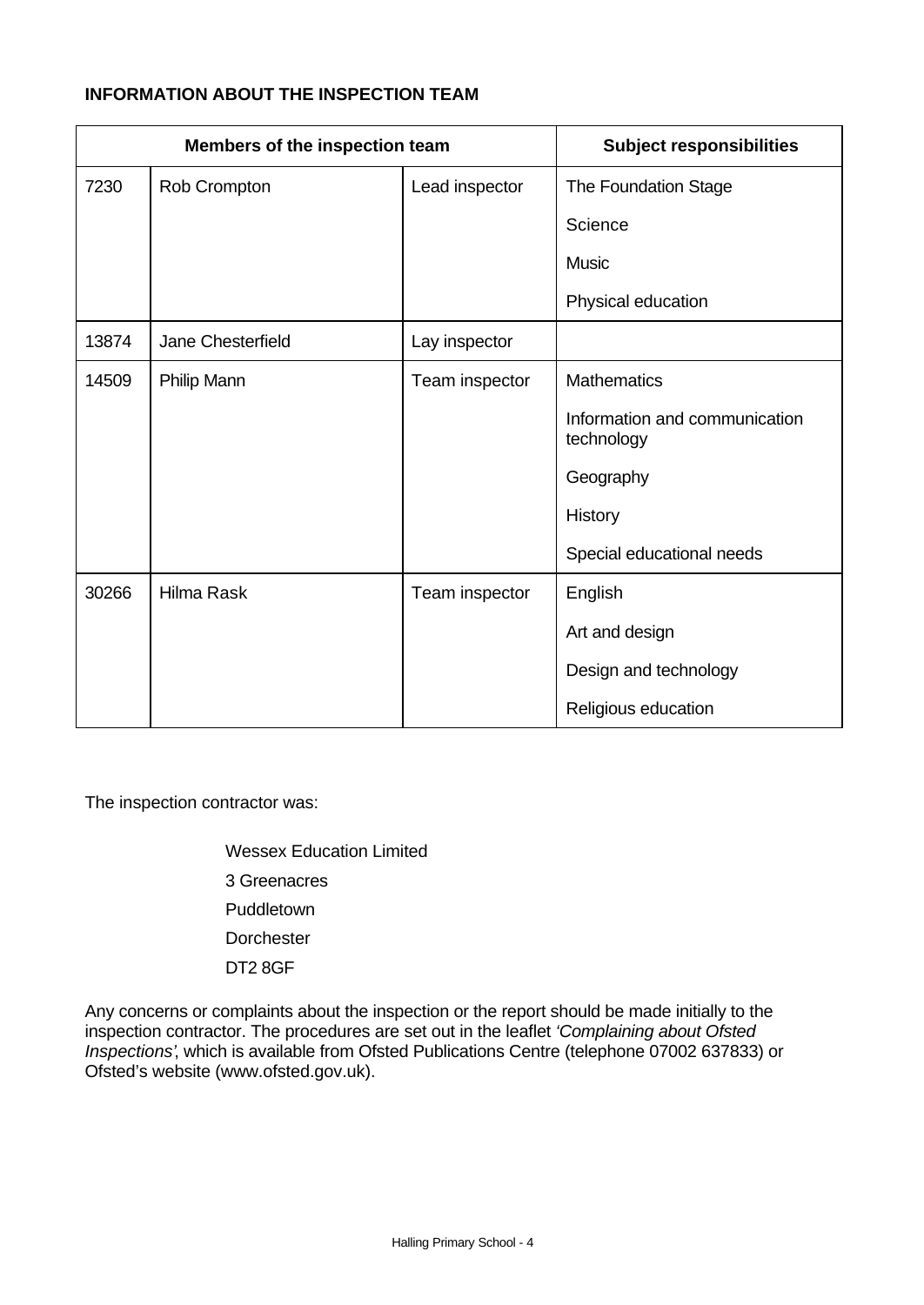# **INFORMATION ABOUT THE INSPECTION TEAM**

|       | Members of the inspection team |                | <b>Subject responsibilities</b>             |
|-------|--------------------------------|----------------|---------------------------------------------|
| 7230  | Rob Crompton                   | Lead inspector | The Foundation Stage                        |
|       |                                |                | Science                                     |
|       |                                |                | <b>Music</b>                                |
|       |                                |                | Physical education                          |
| 13874 | Jane Chesterfield              | Lay inspector  |                                             |
| 14509 | Philip Mann                    | Team inspector | <b>Mathematics</b>                          |
|       |                                |                | Information and communication<br>technology |
|       |                                |                | Geography                                   |
|       |                                |                | History                                     |
|       |                                |                | Special educational needs                   |
| 30266 | <b>Hilma Rask</b>              | Team inspector | English                                     |
|       |                                |                | Art and design                              |
|       |                                |                | Design and technology                       |
|       |                                |                | Religious education                         |

The inspection contractor was:

Wessex Education Limited 3 Greenacres Puddletown **Dorchester** DT2 8GF

Any concerns or complaints about the inspection or the report should be made initially to the inspection contractor. The procedures are set out in the leaflet *'Complaining about Ofsted Inspections'*, which is available from Ofsted Publications Centre (telephone 07002 637833) or Ofsted's website (www.ofsted.gov.uk).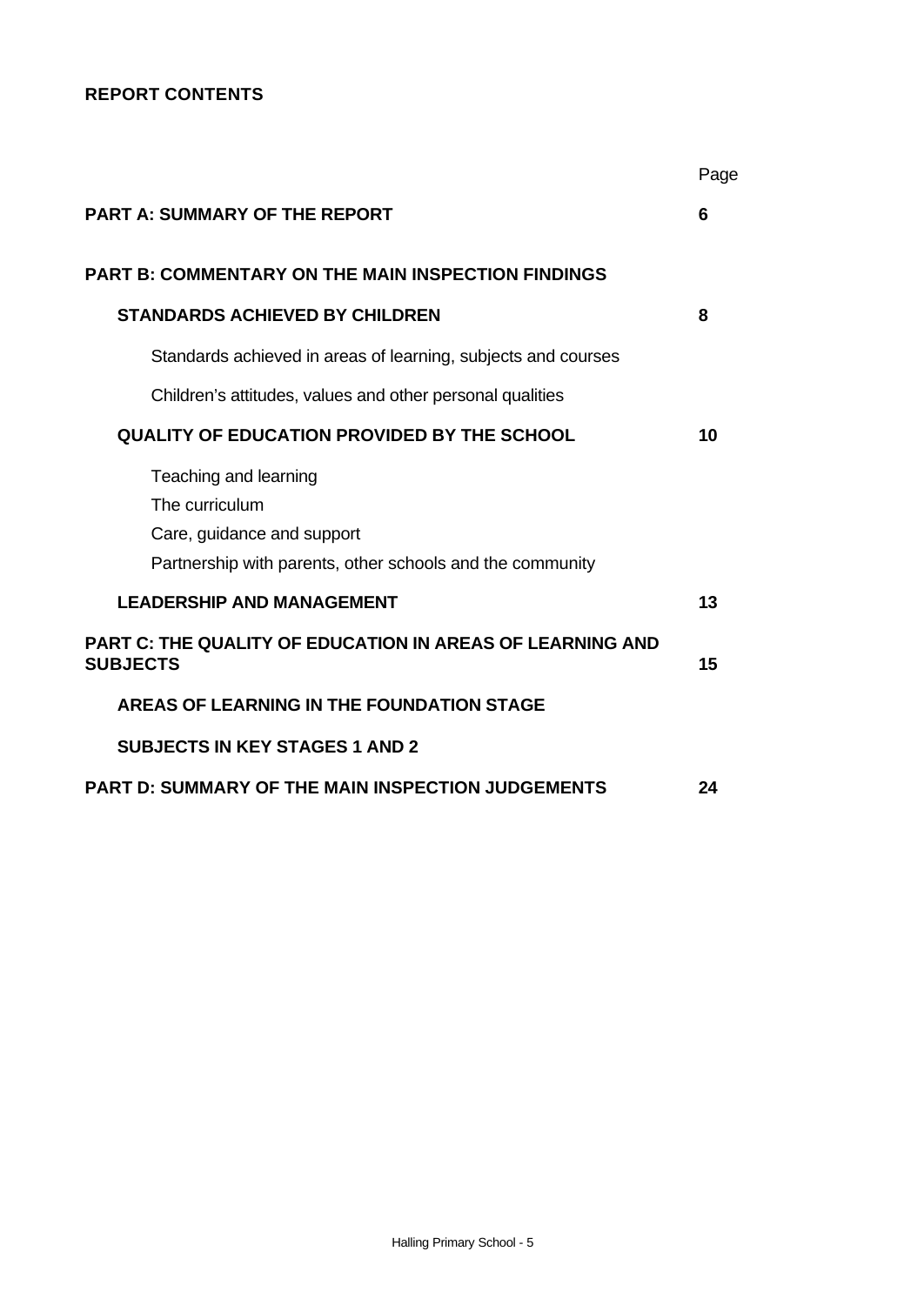# **REPORT CONTENTS**

|                                                                                                                                    | Page |
|------------------------------------------------------------------------------------------------------------------------------------|------|
| <b>PART A: SUMMARY OF THE REPORT</b>                                                                                               | 6    |
| <b>PART B: COMMENTARY ON THE MAIN INSPECTION FINDINGS</b>                                                                          |      |
| <b>STANDARDS ACHIEVED BY CHILDREN</b>                                                                                              | 8    |
| Standards achieved in areas of learning, subjects and courses                                                                      |      |
| Children's attitudes, values and other personal qualities                                                                          |      |
| <b>QUALITY OF EDUCATION PROVIDED BY THE SCHOOL</b>                                                                                 | 10   |
| Teaching and learning<br>The curriculum<br>Care, guidance and support<br>Partnership with parents, other schools and the community |      |
| <b>LEADERSHIP AND MANAGEMENT</b>                                                                                                   | 13   |
| PART C: THE QUALITY OF EDUCATION IN AREAS OF LEARNING AND<br><b>SUBJECTS</b>                                                       | 15   |
| <b>AREAS OF LEARNING IN THE FOUNDATION STAGE</b>                                                                                   |      |
| <b>SUBJECTS IN KEY STAGES 1 AND 2</b>                                                                                              |      |
| PART D: SUMMARY OF THE MAIN INSPECTION JUDGEMENTS                                                                                  | 24   |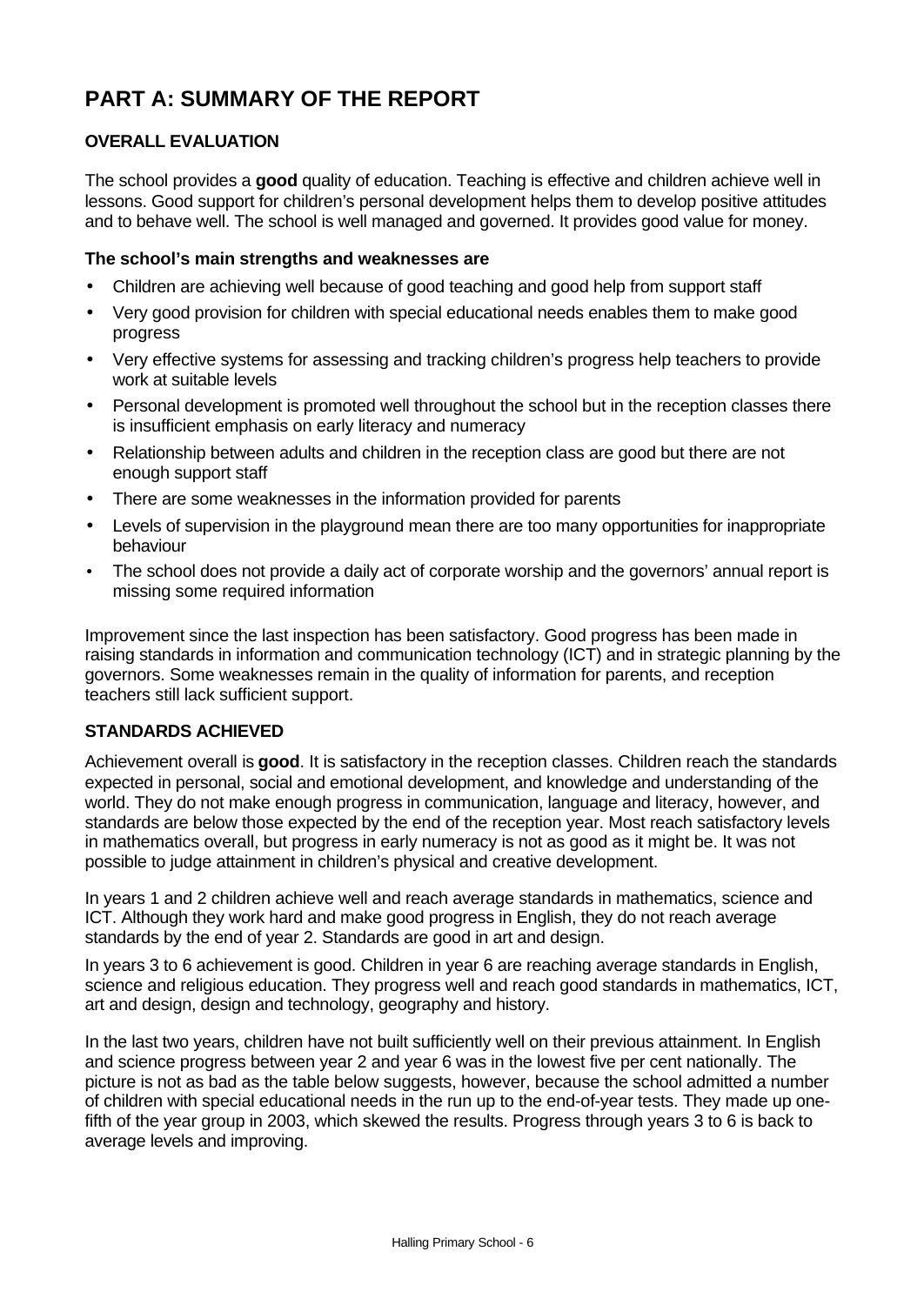# **PART A: SUMMARY OF THE REPORT**

# **OVERALL EVALUATION**

The school provides a **good** quality of education. Teaching is effective and children achieve well in lessons. Good support for children's personal development helps them to develop positive attitudes and to behave well. The school is well managed and governed. It provides good value for money.

# **The school's main strengths and weaknesses are**

- Children are achieving well because of good teaching and good help from support staff
- Very good provision for children with special educational needs enables them to make good progress
- Very effective systems for assessing and tracking children's progress help teachers to provide work at suitable levels
- Personal development is promoted well throughout the school but in the reception classes there is insufficient emphasis on early literacy and numeracy
- Relationship between adults and children in the reception class are good but there are not enough support staff
- There are some weaknesses in the information provided for parents
- Levels of supervision in the playground mean there are too many opportunities for inappropriate behaviour
- The school does not provide a daily act of corporate worship and the governors' annual report is missing some required information

Improvement since the last inspection has been satisfactory. Good progress has been made in raising standards in information and communication technology (ICT) and in strategic planning by the governors. Some weaknesses remain in the quality of information for parents, and reception teachers still lack sufficient support.

# **STANDARDS ACHIEVED**

Achievement overall is **good**. It is satisfactory in the reception classes. Children reach the standards expected in personal, social and emotional development, and knowledge and understanding of the world. They do not make enough progress in communication, language and literacy, however, and standards are below those expected by the end of the reception year. Most reach satisfactory levels in mathematics overall, but progress in early numeracy is not as good as it might be. It was not possible to judge attainment in children's physical and creative development.

In years 1 and 2 children achieve well and reach average standards in mathematics, science and ICT. Although they work hard and make good progress in English, they do not reach average standards by the end of year 2. Standards are good in art and design.

In years 3 to 6 achievement is good. Children in year 6 are reaching average standards in English, science and religious education. They progress well and reach good standards in mathematics, ICT, art and design, design and technology, geography and history.

In the last two years, children have not built sufficiently well on their previous attainment. In English and science progress between year 2 and year 6 was in the lowest five per cent nationally. The picture is not as bad as the table below suggests, however, because the school admitted a number of children with special educational needs in the run up to the end-of-year tests. They made up onefifth of the year group in 2003, which skewed the results. Progress through years 3 to 6 is back to average levels and improving.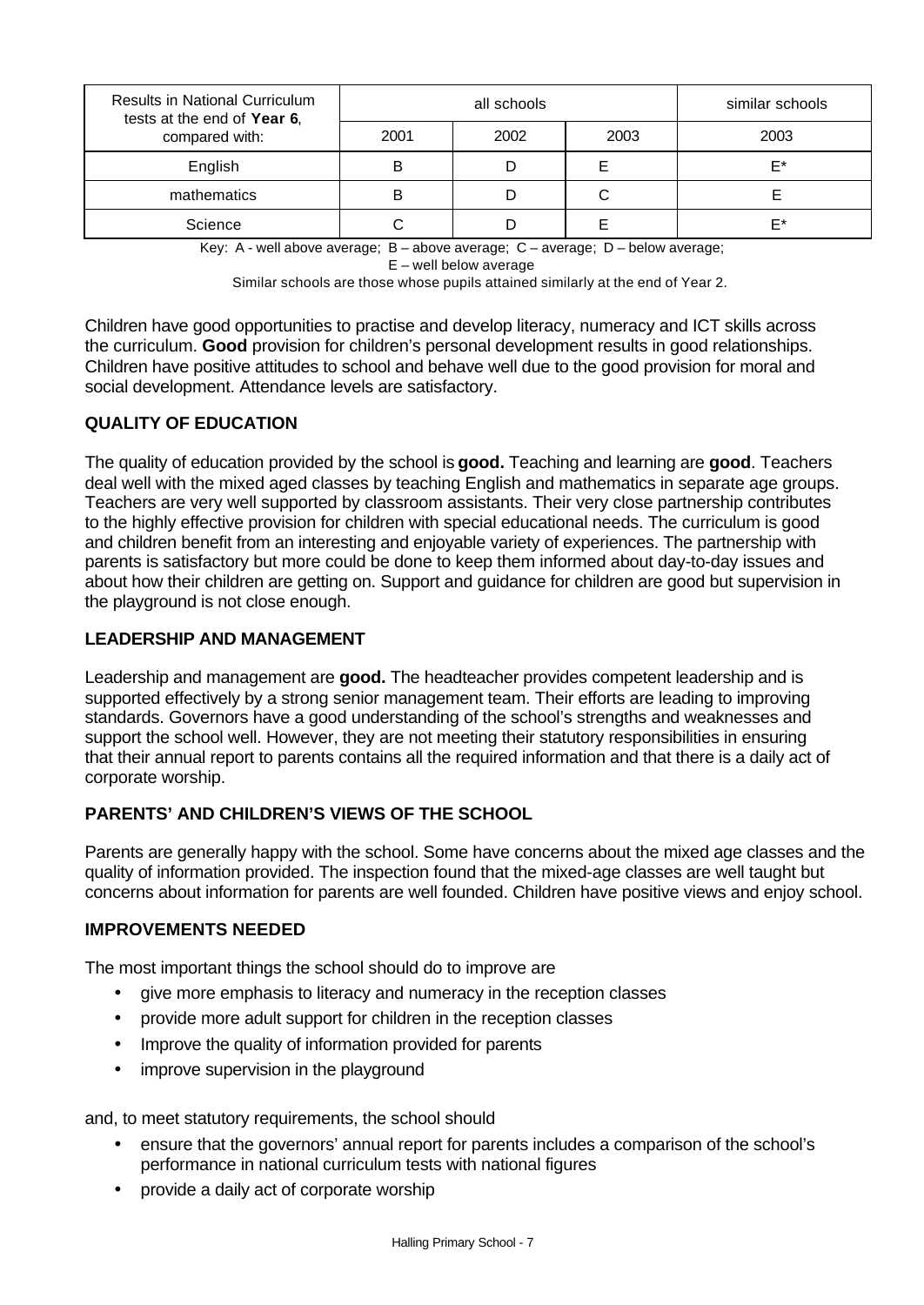| <b>Results in National Curriculum</b><br>tests at the end of Year 6, |      | all schools | similar schools |    |
|----------------------------------------------------------------------|------|-------------|-----------------|----|
| compared with:                                                       | 2001 | 2002        | 2003            |    |
| English                                                              | в    |             |                 | F* |
| mathematics                                                          | в    |             | С               |    |
| Science                                                              |      |             |                 | F* |

Key: A - well above average; B – above average; C – average; D – below average; E – well below average

Similar schools are those whose pupils attained similarly at the end of Year 2.

Children have good opportunities to practise and develop literacy, numeracy and ICT skills across the curriculum. **Good** provision for children's personal development results in good relationships. Children have positive attitudes to school and behave well due to the good provision for moral and social development. Attendance levels are satisfactory.

# **QUALITY OF EDUCATION**

The quality of education provided by the school is **good.** Teaching and learning are **good**. Teachers deal well with the mixed aged classes by teaching English and mathematics in separate age groups. Teachers are very well supported by classroom assistants. Their very close partnership contributes to the highly effective provision for children with special educational needs. The curriculum is good and children benefit from an interesting and enjoyable variety of experiences. The partnership with parents is satisfactory but more could be done to keep them informed about day-to-day issues and about how their children are getting on. Support and guidance for children are good but supervision in the playground is not close enough.

# **LEADERSHIP AND MANAGEMENT**

Leadership and management are **good.** The headteacher provides competent leadership and is supported effectively by a strong senior management team. Their efforts are leading to improving standards. Governors have a good understanding of the school's strengths and weaknesses and support the school well. However, they are not meeting their statutory responsibilities in ensuring that their annual report to parents contains all the required information and that there is a daily act of corporate worship.

# **PARENTS' AND CHILDREN'S VIEWS OF THE SCHOOL**

Parents are generally happy with the school. Some have concerns about the mixed age classes and the quality of information provided. The inspection found that the mixed-age classes are well taught but concerns about information for parents are well founded. Children have positive views and enjoy school.

# **IMPROVEMENTS NEEDED**

The most important things the school should do to improve are

- give more emphasis to literacy and numeracy in the reception classes
- provide more adult support for children in the reception classes
- Improve the quality of information provided for parents
- improve supervision in the playground

and, to meet statutory requirements, the school should

- ensure that the governors' annual report for parents includes a comparison of the school's performance in national curriculum tests with national figures
- provide a daily act of corporate worship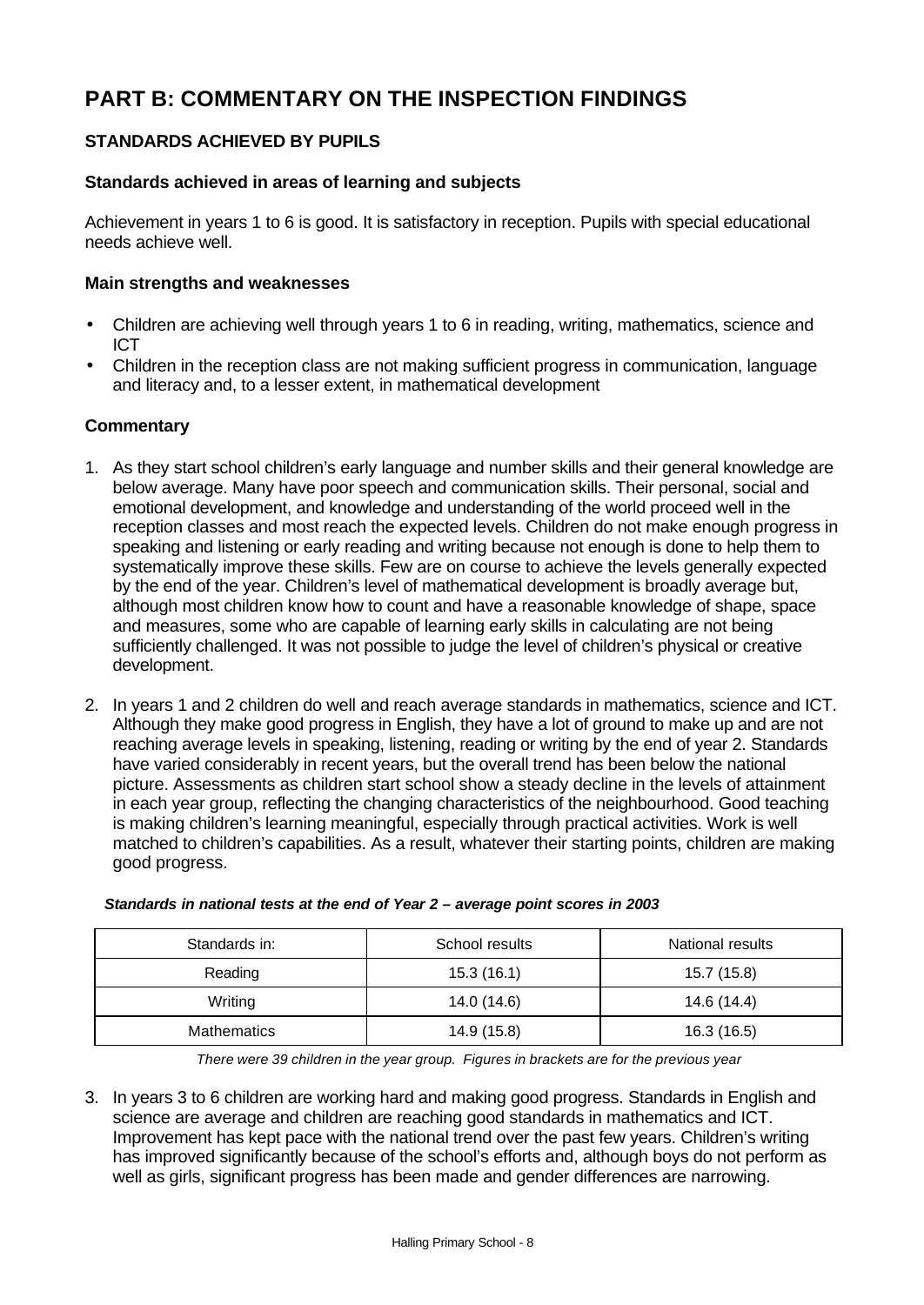# **PART B: COMMENTARY ON THE INSPECTION FINDINGS**

# **STANDARDS ACHIEVED BY PUPILS**

# **Standards achieved in areas of learning and subjects**

Achievement in years 1 to 6 is good. It is satisfactory in reception. Pupils with special educational needs achieve well.

### **Main strengths and weaknesses**

- Children are achieving well through years 1 to 6 in reading, writing, mathematics, science and ICT
- Children in the reception class are not making sufficient progress in communication, language and literacy and, to a lesser extent, in mathematical development

# **Commentary**

- 1. As they start school children's early language and number skills and their general knowledge are below average. Many have poor speech and communication skills. Their personal, social and emotional development, and knowledge and understanding of the world proceed well in the reception classes and most reach the expected levels. Children do not make enough progress in speaking and listening or early reading and writing because not enough is done to help them to systematically improve these skills. Few are on course to achieve the levels generally expected by the end of the year. Children's level of mathematical development is broadly average but, although most children know how to count and have a reasonable knowledge of shape, space and measures, some who are capable of learning early skills in calculating are not being sufficiently challenged. It was not possible to judge the level of children's physical or creative development.
- 2. In years 1 and 2 children do well and reach average standards in mathematics, science and ICT. Although they make good progress in English, they have a lot of ground to make up and are not reaching average levels in speaking, listening, reading or writing by the end of year 2. Standards have varied considerably in recent years, but the overall trend has been below the national picture. Assessments as children start school show a steady decline in the levels of attainment in each year group, reflecting the changing characteristics of the neighbourhood. Good teaching is making children's learning meaningful, especially through practical activities. Work is well matched to children's capabilities. As a result, whatever their starting points, children are making good progress.

| Standards in:      | School results | National results |
|--------------------|----------------|------------------|
| Reading            | 15.3(16.1)     | 15.7 (15.8)      |
| Writing            | 14.0 (14.6)    | 14.6 (14.4)      |
| <b>Mathematics</b> | 14.9 (15.8)    | 16.3 (16.5)      |

#### *Standards in national tests at the end of Year 2 – average point scores in 2003*

*There were 39 children in the year group. Figures in brackets are for the previous year*

3. In years 3 to 6 children are working hard and making good progress. Standards in English and science are average and children are reaching good standards in mathematics and ICT. Improvement has kept pace with the national trend over the past few years. Children's writing has improved significantly because of the school's efforts and, although boys do not perform as well as girls, significant progress has been made and gender differences are narrowing.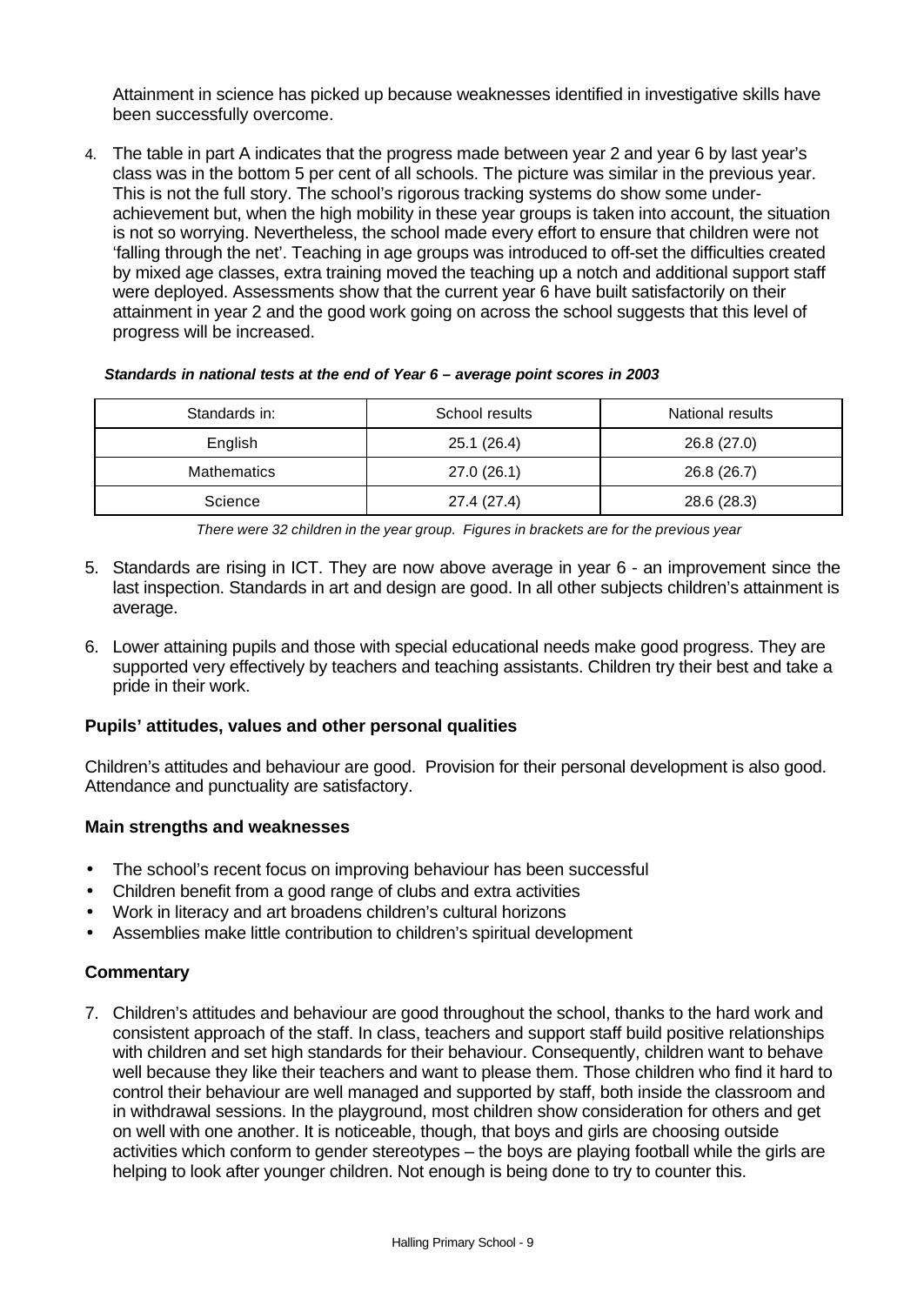Attainment in science has picked up because weaknesses identified in investigative skills have been successfully overcome.

4. The table in part A indicates that the progress made between year 2 and year 6 by last year's class was in the bottom 5 per cent of all schools. The picture was similar in the previous year. This is not the full story. The school's rigorous tracking systems do show some underachievement but, when the high mobility in these year groups is taken into account, the situation is not so worrying. Nevertheless, the school made every effort to ensure that children were not 'falling through the net'. Teaching in age groups was introduced to off-set the difficulties created by mixed age classes, extra training moved the teaching up a notch and additional support staff were deployed. Assessments show that the current year 6 have built satisfactorily on their attainment in year 2 and the good work going on across the school suggests that this level of progress will be increased.

#### *Standards in national tests at the end of Year 6 – average point scores in 2003*

| Standards in:      | School results | National results |
|--------------------|----------------|------------------|
| English            | 25.1 (26.4)    | 26.8 (27.0)      |
| <b>Mathematics</b> | 27.0(26.1)     | 26.8 (26.7)      |
| Science            | 27.4 (27.4)    | 28.6 (28.3)      |

*There were 32 children in the year group. Figures in brackets are for the previous year*

- 5. Standards are rising in ICT. They are now above average in year 6 an improvement since the last inspection. Standards in art and design are good. In all other subjects children's attainment is average.
- 6. Lower attaining pupils and those with special educational needs make good progress. They are supported very effectively by teachers and teaching assistants. Children try their best and take a pride in their work.

# **Pupils' attitudes, values and other personal qualities**

Children's attitudes and behaviour are good. Provision for their personal development is also good. Attendance and punctuality are satisfactory.

#### **Main strengths and weaknesses**

- The school's recent focus on improving behaviour has been successful
- Children benefit from a good range of clubs and extra activities
- Work in literacy and art broadens children's cultural horizons
- Assemblies make little contribution to children's spiritual development

# **Commentary**

7. Children's attitudes and behaviour are good throughout the school, thanks to the hard work and consistent approach of the staff. In class, teachers and support staff build positive relationships with children and set high standards for their behaviour. Consequently, children want to behave well because they like their teachers and want to please them. Those children who find it hard to control their behaviour are well managed and supported by staff, both inside the classroom and in withdrawal sessions. In the playground, most children show consideration for others and get on well with one another. It is noticeable, though, that boys and girls are choosing outside activities which conform to gender stereotypes – the boys are playing football while the girls are helping to look after younger children. Not enough is being done to try to counter this.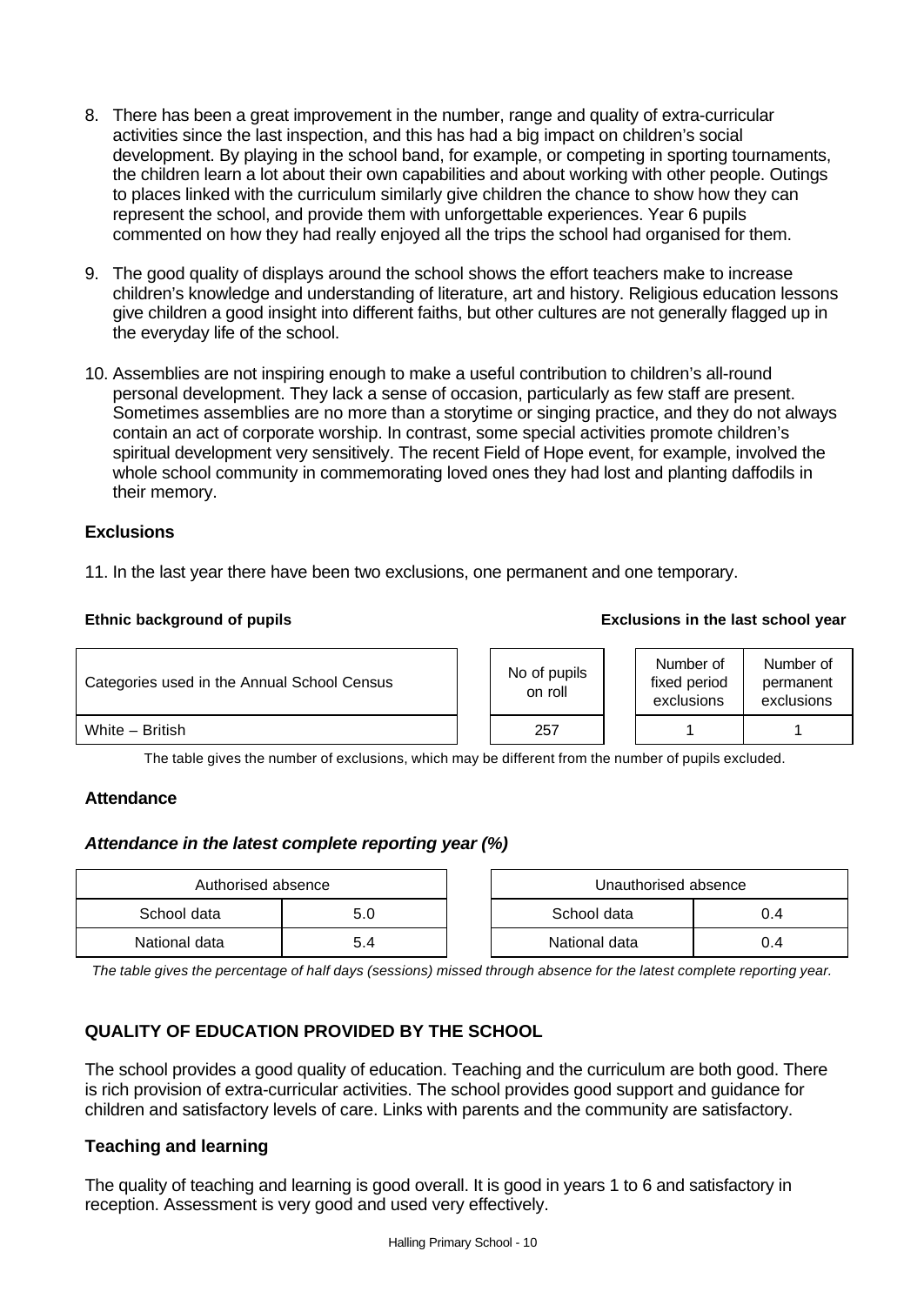- 8. There has been a great improvement in the number, range and quality of extra-curricular activities since the last inspection, and this has had a big impact on children's social development. By playing in the school band, for example, or competing in sporting tournaments, the children learn a lot about their own capabilities and about working with other people. Outings to places linked with the curriculum similarly give children the chance to show how they can represent the school, and provide them with unforgettable experiences. Year 6 pupils commented on how they had really enjoyed all the trips the school had organised for them.
- 9. The good quality of displays around the school shows the effort teachers make to increase children's knowledge and understanding of literature, art and history. Religious education lessons give children a good insight into different faiths, but other cultures are not generally flagged up in the everyday life of the school.
- 10. Assemblies are not inspiring enough to make a useful contribution to children's all-round personal development. They lack a sense of occasion, particularly as few staff are present. Sometimes assemblies are no more than a storytime or singing practice, and they do not always contain an act of corporate worship. In contrast, some special activities promote children's spiritual development very sensitively. The recent Field of Hope event, for example, involved the whole school community in commemorating loved ones they had lost and planting daffodils in their memory.

# **Exclusions**

11. In the last year there have been two exclusions, one permanent and one temporary.

| Categories used in the Annual School Census | No of pupils<br>on roll | Number of<br>fixed period<br>exclusions | Number of<br>permanent<br>exclusions |
|---------------------------------------------|-------------------------|-----------------------------------------|--------------------------------------|
| White - British                             | 257                     |                                         |                                      |

The table gives the number of exclusions, which may be different from the number of pupils excluded.

# **Attendance**

# *Attendance in the latest complete reporting year (%)*

| Authorised absence |     |  | Unauthorised absence |     |  |  |
|--------------------|-----|--|----------------------|-----|--|--|
| School data        | 5.0 |  | School data<br>0.4   |     |  |  |
| National data      | 5.4 |  | National data        | J.4 |  |  |

*The table gives the percentage of half days (sessions) missed through absence for the latest complete reporting year.*

# **QUALITY OF EDUCATION PROVIDED BY THE SCHOOL**

The school provides a good quality of education. Teaching and the curriculum are both good. There is rich provision of extra-curricular activities. The school provides good support and guidance for children and satisfactory levels of care. Links with parents and the community are satisfactory.

# **Teaching and learning**

The quality of teaching and learning is good overall. It is good in years 1 to 6 and satisfactory in reception. Assessment is very good and used very effectively.

#### **Ethnic background of pupils Exclusions in the last school year**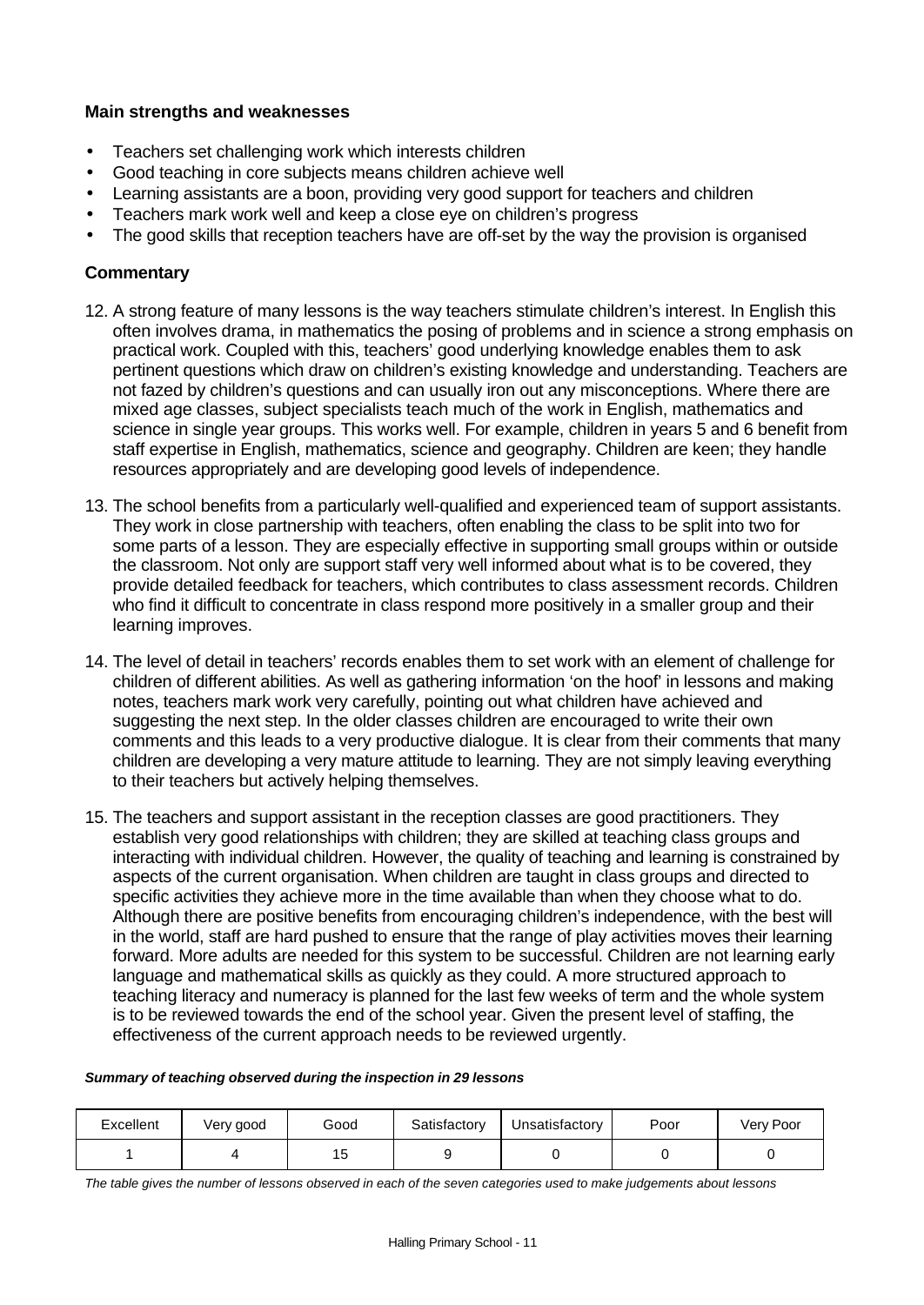# **Main strengths and weaknesses**

- Teachers set challenging work which interests children
- Good teaching in core subjects means children achieve well
- Learning assistants are a boon, providing very good support for teachers and children
- Teachers mark work well and keep a close eye on children's progress
- The good skills that reception teachers have are off-set by the way the provision is organised

# **Commentary**

- 12. A strong feature of many lessons is the way teachers stimulate children's interest. In English this often involves drama, in mathematics the posing of problems and in science a strong emphasis on practical work. Coupled with this, teachers' good underlying knowledge enables them to ask pertinent questions which draw on children's existing knowledge and understanding. Teachers are not fazed by children's questions and can usually iron out any misconceptions. Where there are mixed age classes, subject specialists teach much of the work in English, mathematics and science in single year groups. This works well. For example, children in years 5 and 6 benefit from staff expertise in English, mathematics, science and geography. Children are keen; they handle resources appropriately and are developing good levels of independence.
- 13. The school benefits from a particularly well-qualified and experienced team of support assistants. They work in close partnership with teachers, often enabling the class to be split into two for some parts of a lesson. They are especially effective in supporting small groups within or outside the classroom. Not only are support staff very well informed about what is to be covered, they provide detailed feedback for teachers, which contributes to class assessment records. Children who find it difficult to concentrate in class respond more positively in a smaller group and their learning improves.
- 14. The level of detail in teachers' records enables them to set work with an element of challenge for children of different abilities. As well as gathering information 'on the hoof' in lessons and making notes, teachers mark work very carefully, pointing out what children have achieved and suggesting the next step. In the older classes children are encouraged to write their own comments and this leads to a very productive dialogue. It is clear from their comments that many children are developing a very mature attitude to learning. They are not simply leaving everything to their teachers but actively helping themselves.
- 15. The teachers and support assistant in the reception classes are good practitioners. They establish very good relationships with children; they are skilled at teaching class groups and interacting with individual children. However, the quality of teaching and learning is constrained by aspects of the current organisation. When children are taught in class groups and directed to specific activities they achieve more in the time available than when they choose what to do. Although there are positive benefits from encouraging children's independence, with the best will in the world, staff are hard pushed to ensure that the range of play activities moves their learning forward. More adults are needed for this system to be successful. Children are not learning early language and mathematical skills as quickly as they could. A more structured approach to teaching literacy and numeracy is planned for the last few weeks of term and the whole system is to be reviewed towards the end of the school year. Given the present level of staffing, the effectiveness of the current approach needs to be reviewed urgently.

#### *Summary of teaching observed during the inspection in 29 lessons*

| Excellent | Very good | Good | Satisfactory | Unsatisfactory | Poor | Very Poor |
|-----------|-----------|------|--------------|----------------|------|-----------|
|           |           | 15   |              |                |      |           |

*The table gives the number of lessons observed in each of the seven categories used to make judgements about lessons*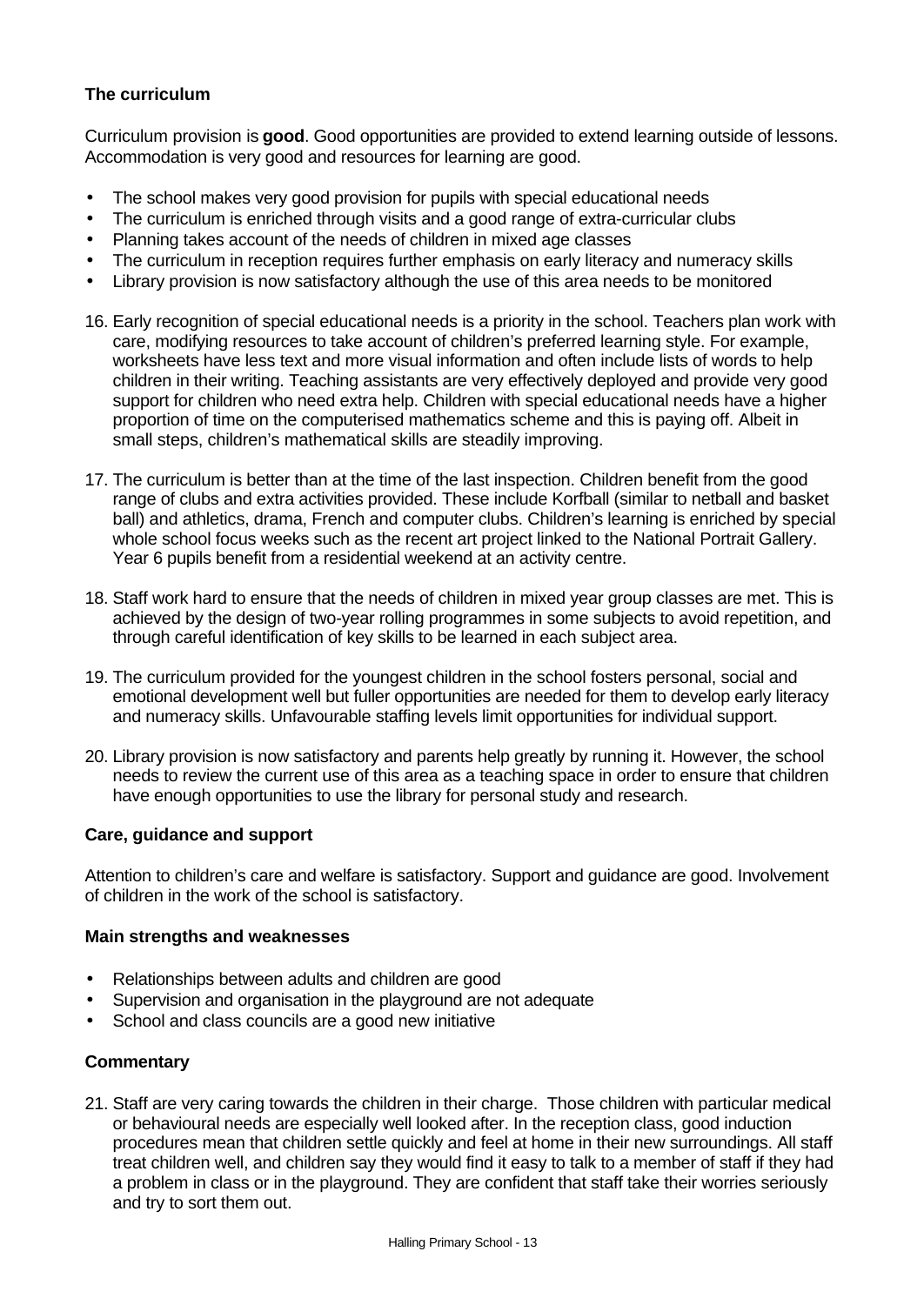# **The curriculum**

Curriculum provision is **good**. Good opportunities are provided to extend learning outside of lessons. Accommodation is very good and resources for learning are good.

- The school makes very good provision for pupils with special educational needs
- The curriculum is enriched through visits and a good range of extra-curricular clubs
- Planning takes account of the needs of children in mixed age classes
- The curriculum in reception requires further emphasis on early literacy and numeracy skills
- Library provision is now satisfactory although the use of this area needs to be monitored
- 16. Early recognition of special educational needs is a priority in the school. Teachers plan work with care, modifying resources to take account of children's preferred learning style. For example, worksheets have less text and more visual information and often include lists of words to help children in their writing. Teaching assistants are very effectively deployed and provide very good support for children who need extra help. Children with special educational needs have a higher proportion of time on the computerised mathematics scheme and this is paying off. Albeit in small steps, children's mathematical skills are steadily improving.
- 17. The curriculum is better than at the time of the last inspection. Children benefit from the good range of clubs and extra activities provided. These include Korfball (similar to netball and basket ball) and athletics, drama, French and computer clubs. Children's learning is enriched by special whole school focus weeks such as the recent art project linked to the National Portrait Gallery. Year 6 pupils benefit from a residential weekend at an activity centre.
- 18. Staff work hard to ensure that the needs of children in mixed year group classes are met. This is achieved by the design of two-year rolling programmes in some subjects to avoid repetition, and through careful identification of key skills to be learned in each subject area.
- 19. The curriculum provided for the youngest children in the school fosters personal, social and emotional development well but fuller opportunities are needed for them to develop early literacy and numeracy skills. Unfavourable staffing levels limit opportunities for individual support.
- 20. Library provision is now satisfactory and parents help greatly by running it. However, the school needs to review the current use of this area as a teaching space in order to ensure that children have enough opportunities to use the library for personal study and research.

# **Care, guidance and support**

Attention to children's care and welfare is satisfactory. Support and guidance are good. Involvement of children in the work of the school is satisfactory.

#### **Main strengths and weaknesses**

- Relationships between adults and children are good
- Supervision and organisation in the playground are not adequate
- School and class councils are a good new initiative

#### **Commentary**

21. Staff are very caring towards the children in their charge. Those children with particular medical or behavioural needs are especially well looked after. In the reception class, good induction procedures mean that children settle quickly and feel at home in their new surroundings. All staff treat children well, and children say they would find it easy to talk to a member of staff if they had a problem in class or in the playground. They are confident that staff take their worries seriously and try to sort them out.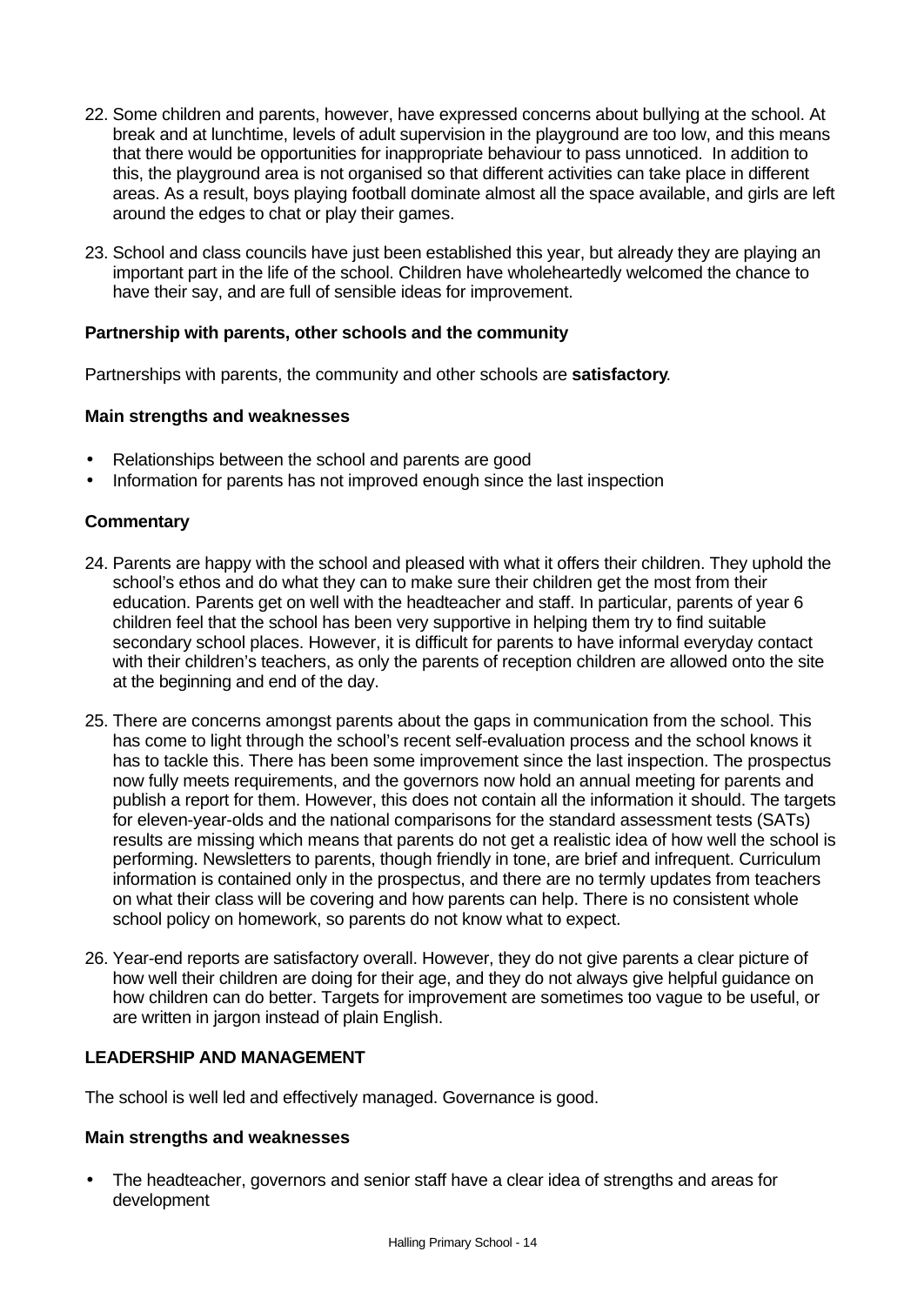- 22. Some children and parents, however, have expressed concerns about bullying at the school. At break and at lunchtime, levels of adult supervision in the playground are too low, and this means that there would be opportunities for inappropriate behaviour to pass unnoticed. In addition to this, the playground area is not organised so that different activities can take place in different areas. As a result, boys playing football dominate almost all the space available, and girls are left around the edges to chat or play their games.
- 23. School and class councils have just been established this year, but already they are playing an important part in the life of the school. Children have wholeheartedly welcomed the chance to have their say, and are full of sensible ideas for improvement.

# **Partnership with parents, other schools and the community**

Partnerships with parents, the community and other schools are **satisfactory**.

#### **Main strengths and weaknesses**

- Relationships between the school and parents are good
- Information for parents has not improved enough since the last inspection

# **Commentary**

- 24. Parents are happy with the school and pleased with what it offers their children. They uphold the school's ethos and do what they can to make sure their children get the most from their education. Parents get on well with the headteacher and staff. In particular, parents of year 6 children feel that the school has been very supportive in helping them try to find suitable secondary school places. However, it is difficult for parents to have informal everyday contact with their children's teachers, as only the parents of reception children are allowed onto the site at the beginning and end of the day.
- 25. There are concerns amongst parents about the gaps in communication from the school. This has come to light through the school's recent self-evaluation process and the school knows it has to tackle this. There has been some improvement since the last inspection. The prospectus now fully meets requirements, and the governors now hold an annual meeting for parents and publish a report for them. However, this does not contain all the information it should. The targets for eleven-year-olds and the national comparisons for the standard assessment tests (SATs) results are missing which means that parents do not get a realistic idea of how well the school is performing. Newsletters to parents, though friendly in tone, are brief and infrequent. Curriculum information is contained only in the prospectus, and there are no termly updates from teachers on what their class will be covering and how parents can help. There is no consistent whole school policy on homework, so parents do not know what to expect.
- 26. Year-end reports are satisfactory overall. However, they do not give parents a clear picture of how well their children are doing for their age, and they do not always give helpful guidance on how children can do better. Targets for improvement are sometimes too vague to be useful, or are written in jargon instead of plain English.

# **LEADERSHIP AND MANAGEMENT**

The school is well led and effectively managed. Governance is good.

# **Main strengths and weaknesses**

• The headteacher, governors and senior staff have a clear idea of strengths and areas for development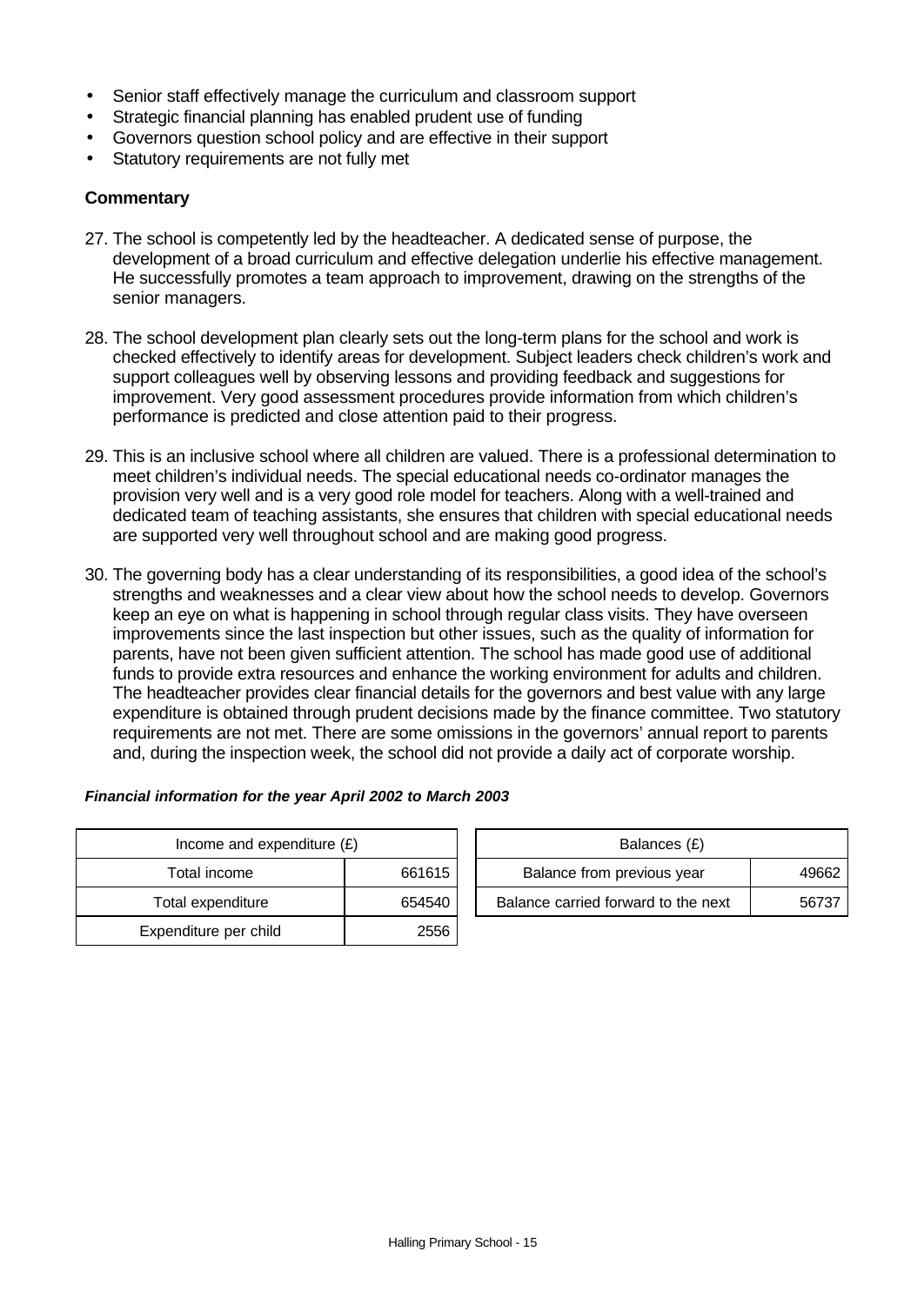- Senior staff effectively manage the curriculum and classroom support
- Strategic financial planning has enabled prudent use of funding
- Governors question school policy and are effective in their support
- Statutory requirements are not fully met

# **Commentary**

- 27. The school is competently led by the headteacher. A dedicated sense of purpose, the development of a broad curriculum and effective delegation underlie his effective management. He successfully promotes a team approach to improvement, drawing on the strengths of the senior managers.
- 28. The school development plan clearly sets out the long-term plans for the school and work is checked effectively to identify areas for development. Subject leaders check children's work and support colleagues well by observing lessons and providing feedback and suggestions for improvement. Very good assessment procedures provide information from which children's performance is predicted and close attention paid to their progress.
- 29. This is an inclusive school where all children are valued. There is a professional determination to meet children's individual needs. The special educational needs co-ordinator manages the provision very well and is a very good role model for teachers. Along with a well-trained and dedicated team of teaching assistants, she ensures that children with special educational needs are supported very well throughout school and are making good progress.
- 30. The governing body has a clear understanding of its responsibilities, a good idea of the school's strengths and weaknesses and a clear view about how the school needs to develop. Governors keep an eye on what is happening in school through regular class visits. They have overseen improvements since the last inspection but other issues, such as the quality of information for parents, have not been given sufficient attention. The school has made good use of additional funds to provide extra resources and enhance the working environment for adults and children. The headteacher provides clear financial details for the governors and best value with any large expenditure is obtained through prudent decisions made by the finance committee. Two statutory requirements are not met. There are some omissions in the governors' annual report to parents and, during the inspection week, the school did not provide a daily act of corporate worship.

#### *Financial information for the year April 2002 to March 2003*

| Income and expenditure $(E)$ | Balances (£) |                                |
|------------------------------|--------------|--------------------------------|
| Total income                 | 661615       | Balance from previous year     |
| Total expenditure            | 654540       | Balance carried forward to the |
| Expenditure per child        | 2556         |                                |

| Income and expenditure $(E)$ |        | Balances (£)                        |       |
|------------------------------|--------|-------------------------------------|-------|
| Total income                 | 661615 | Balance from previous year          | 49662 |
| Total expenditure            | 654540 | Balance carried forward to the next | 56737 |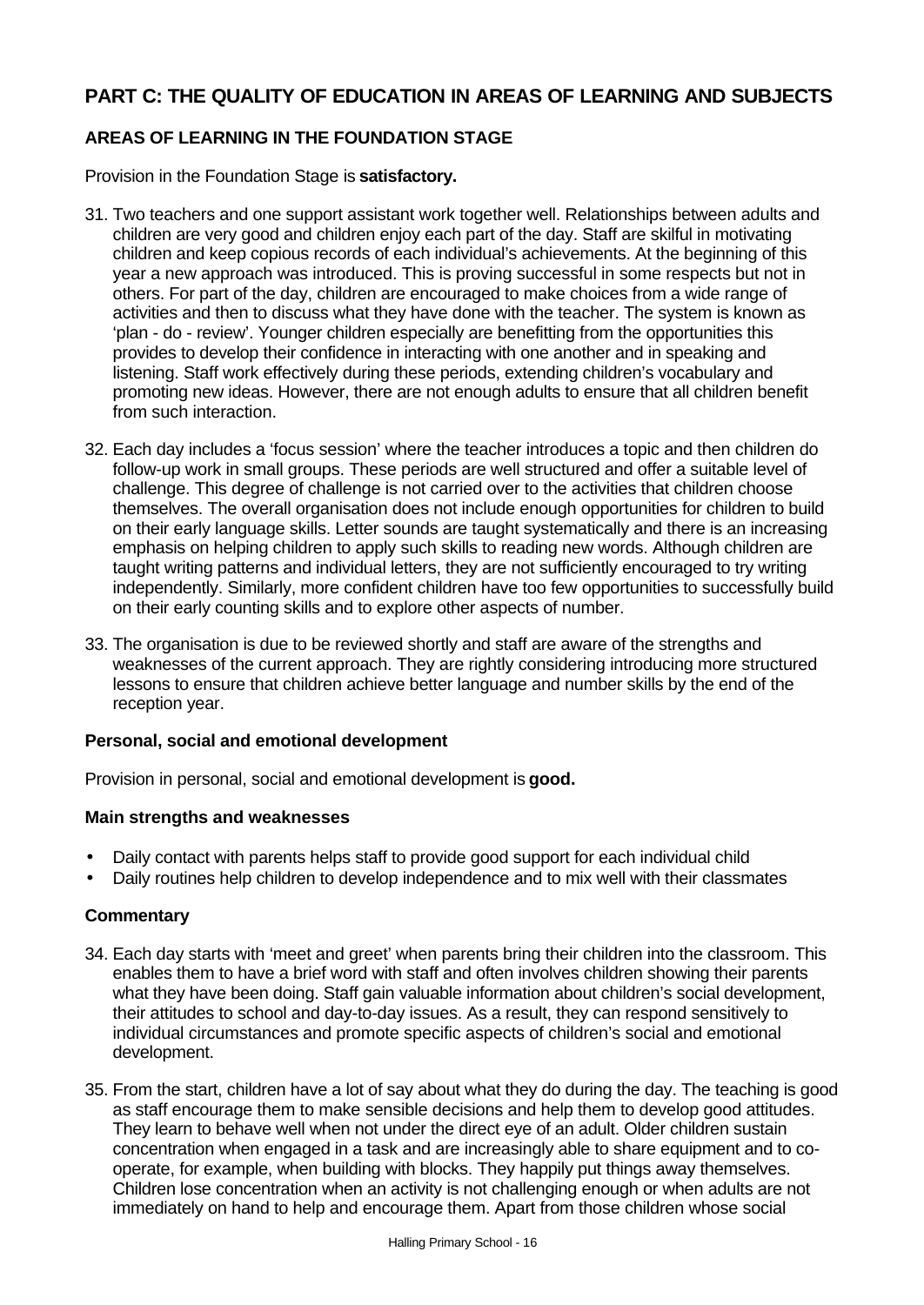# **PART C: THE QUALITY OF EDUCATION IN AREAS OF LEARNING AND SUBJECTS**

# **AREAS OF LEARNING IN THE FOUNDATION STAGE**

Provision in the Foundation Stage is **satisfactory.**

- 31. Two teachers and one support assistant work together well. Relationships between adults and children are very good and children enjoy each part of the day. Staff are skilful in motivating children and keep copious records of each individual's achievements. At the beginning of this year a new approach was introduced. This is proving successful in some respects but not in others. For part of the day, children are encouraged to make choices from a wide range of activities and then to discuss what they have done with the teacher. The system is known as 'plan - do - review'. Younger children especially are benefitting from the opportunities this provides to develop their confidence in interacting with one another and in speaking and listening. Staff work effectively during these periods, extending children's vocabulary and promoting new ideas. However, there are not enough adults to ensure that all children benefit from such interaction.
- 32. Each day includes a 'focus session' where the teacher introduces a topic and then children do follow-up work in small groups. These periods are well structured and offer a suitable level of challenge. This degree of challenge is not carried over to the activities that children choose themselves. The overall organisation does not include enough opportunities for children to build on their early language skills. Letter sounds are taught systematically and there is an increasing emphasis on helping children to apply such skills to reading new words. Although children are taught writing patterns and individual letters, they are not sufficiently encouraged to try writing independently. Similarly, more confident children have too few opportunities to successfully build on their early counting skills and to explore other aspects of number.
- 33. The organisation is due to be reviewed shortly and staff are aware of the strengths and weaknesses of the current approach. They are rightly considering introducing more structured lessons to ensure that children achieve better language and number skills by the end of the reception year.

# **Personal, social and emotional development**

Provision in personal, social and emotional development is **good.**

# **Main strengths and weaknesses**

- Daily contact with parents helps staff to provide good support for each individual child
- Daily routines help children to develop independence and to mix well with their classmates

# **Commentary**

- 34. Each day starts with 'meet and greet' when parents bring their children into the classroom. This enables them to have a brief word with staff and often involves children showing their parents what they have been doing. Staff gain valuable information about children's social development, their attitudes to school and day-to-day issues. As a result, they can respond sensitively to individual circumstances and promote specific aspects of children's social and emotional development.
- 35. From the start, children have a lot of say about what they do during the day. The teaching is good as staff encourage them to make sensible decisions and help them to develop good attitudes. They learn to behave well when not under the direct eye of an adult. Older children sustain concentration when engaged in a task and are increasingly able to share equipment and to cooperate, for example, when building with blocks. They happily put things away themselves. Children lose concentration when an activity is not challenging enough or when adults are not immediately on hand to help and encourage them. Apart from those children whose social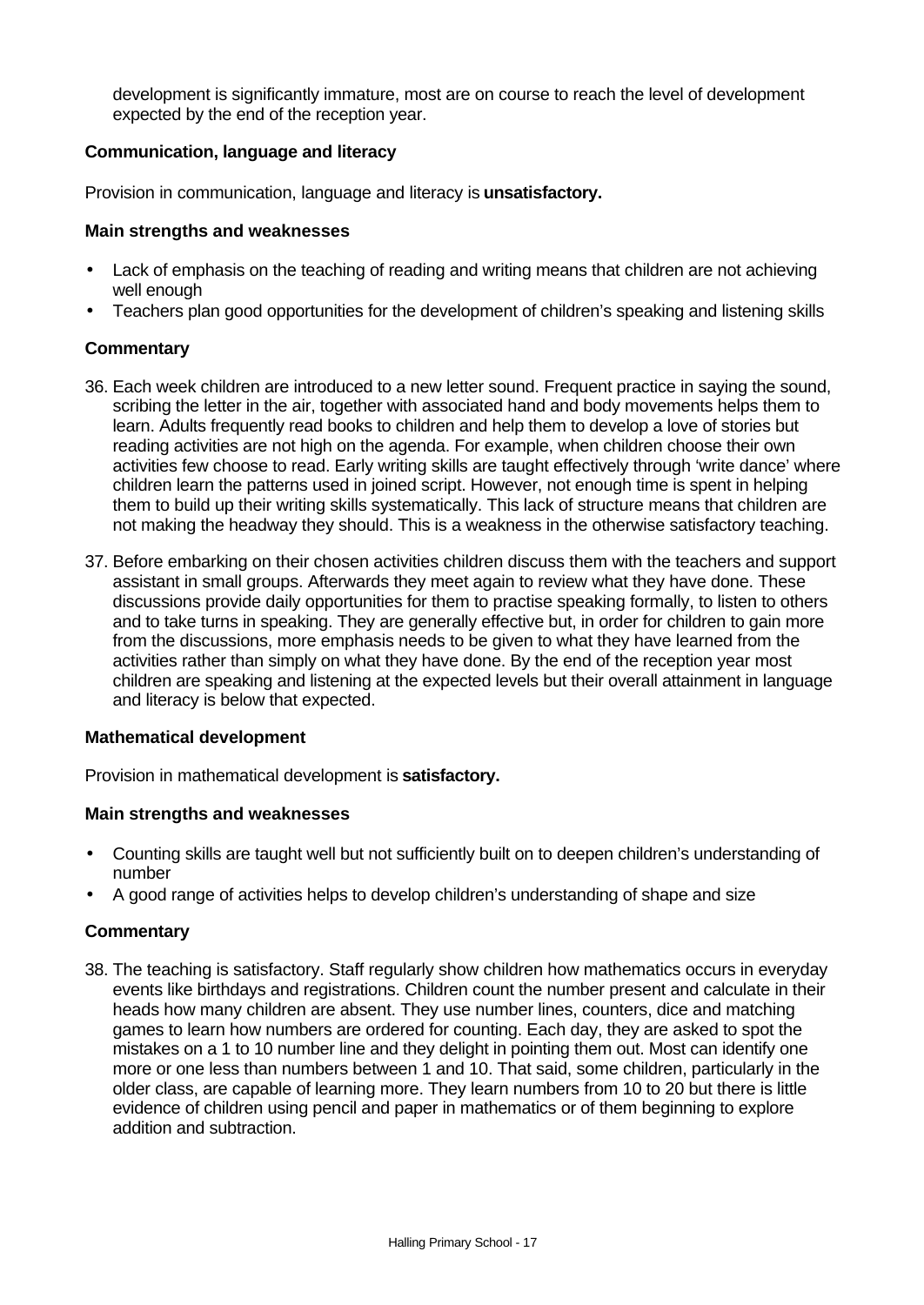development is significantly immature, most are on course to reach the level of development expected by the end of the reception year.

# **Communication, language and literacy**

Provision in communication, language and literacy is **unsatisfactory.**

### **Main strengths and weaknesses**

- Lack of emphasis on the teaching of reading and writing means that children are not achieving well enough
- Teachers plan good opportunities for the development of children's speaking and listening skills

# **Commentary**

- 36. Each week children are introduced to a new letter sound. Frequent practice in saying the sound, scribing the letter in the air, together with associated hand and body movements helps them to learn. Adults frequently read books to children and help them to develop a love of stories but reading activities are not high on the agenda. For example, when children choose their own activities few choose to read. Early writing skills are taught effectively through 'write dance' where children learn the patterns used in joined script. However, not enough time is spent in helping them to build up their writing skills systematically. This lack of structure means that children are not making the headway they should. This is a weakness in the otherwise satisfactory teaching.
- 37. Before embarking on their chosen activities children discuss them with the teachers and support assistant in small groups. Afterwards they meet again to review what they have done. These discussions provide daily opportunities for them to practise speaking formally, to listen to others and to take turns in speaking. They are generally effective but, in order for children to gain more from the discussions, more emphasis needs to be given to what they have learned from the activities rather than simply on what they have done. By the end of the reception year most children are speaking and listening at the expected levels but their overall attainment in language and literacy is below that expected.

# **Mathematical development**

Provision in mathematical development is **satisfactory.**

# **Main strengths and weaknesses**

- Counting skills are taught well but not sufficiently built on to deepen children's understanding of number
- A good range of activities helps to develop children's understanding of shape and size

# **Commentary**

38. The teaching is satisfactory. Staff regularly show children how mathematics occurs in everyday events like birthdays and registrations. Children count the number present and calculate in their heads how many children are absent. They use number lines, counters, dice and matching games to learn how numbers are ordered for counting. Each day, they are asked to spot the mistakes on a 1 to 10 number line and they delight in pointing them out. Most can identify one more or one less than numbers between 1 and 10. That said, some children, particularly in the older class, are capable of learning more. They learn numbers from 10 to 20 but there is little evidence of children using pencil and paper in mathematics or of them beginning to explore addition and subtraction.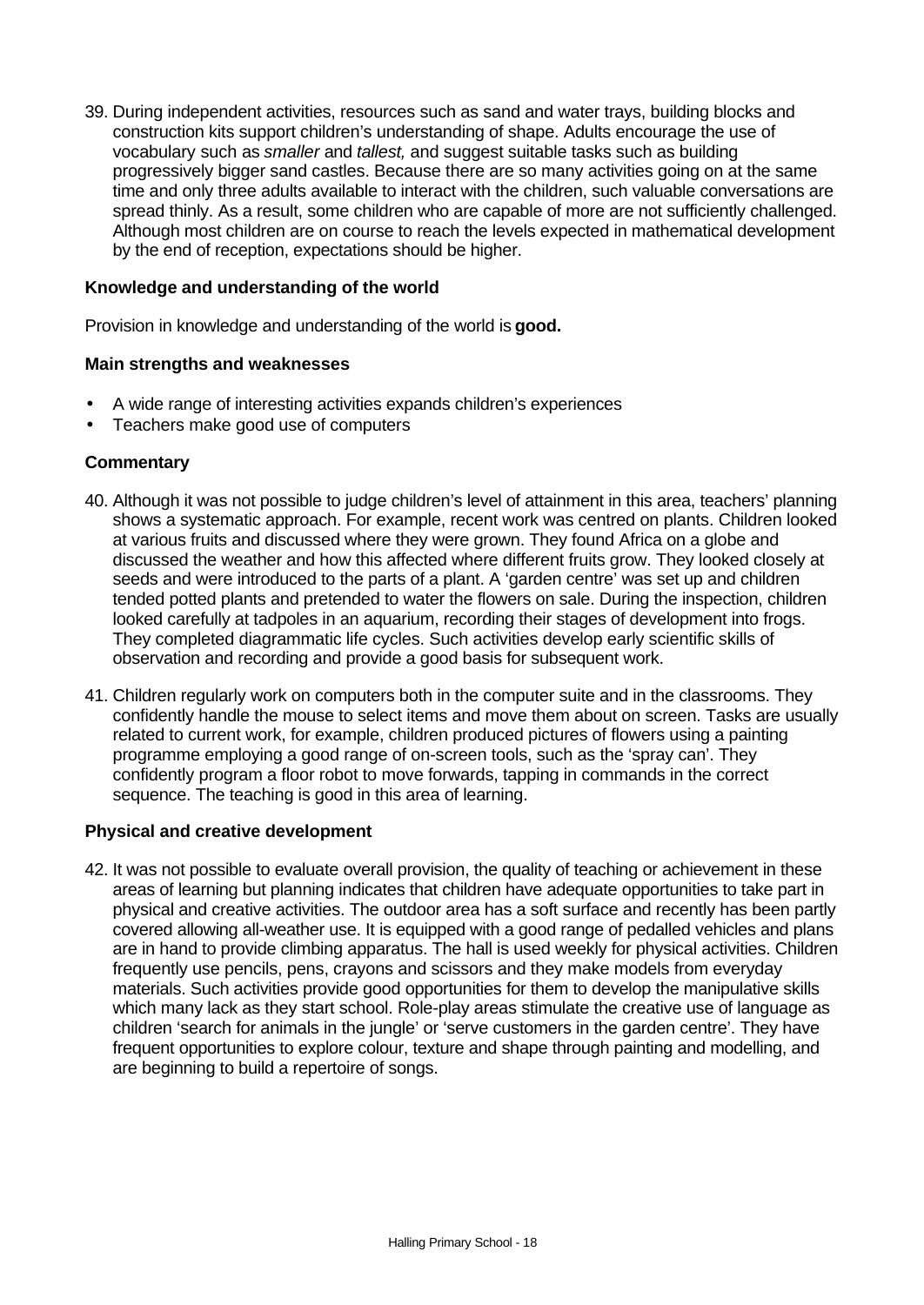39. During independent activities, resources such as sand and water trays, building blocks and construction kits support children's understanding of shape. Adults encourage the use of vocabulary such as *smaller* and *tallest,* and suggest suitable tasks such as building progressively bigger sand castles. Because there are so many activities going on at the same time and only three adults available to interact with the children, such valuable conversations are spread thinly. As a result, some children who are capable of more are not sufficiently challenged. Although most children are on course to reach the levels expected in mathematical development by the end of reception, expectations should be higher.

# **Knowledge and understanding of the world**

Provision in knowledge and understanding of the world is **good.**

#### **Main strengths and weaknesses**

- A wide range of interesting activities expands children's experiences
- Teachers make good use of computers

# **Commentary**

- 40. Although it was not possible to judge children's level of attainment in this area, teachers' planning shows a systematic approach. For example, recent work was centred on plants. Children looked at various fruits and discussed where they were grown. They found Africa on a globe and discussed the weather and how this affected where different fruits grow. They looked closely at seeds and were introduced to the parts of a plant. A 'garden centre' was set up and children tended potted plants and pretended to water the flowers on sale. During the inspection, children looked carefully at tadpoles in an aquarium, recording their stages of development into frogs. They completed diagrammatic life cycles. Such activities develop early scientific skills of observation and recording and provide a good basis for subsequent work.
- 41. Children regularly work on computers both in the computer suite and in the classrooms. They confidently handle the mouse to select items and move them about on screen. Tasks are usually related to current work, for example, children produced pictures of flowers using a painting programme employing a good range of on-screen tools, such as the 'spray can'. They confidently program a floor robot to move forwards, tapping in commands in the correct sequence. The teaching is good in this area of learning.

# **Physical and creative development**

42. It was not possible to evaluate overall provision, the quality of teaching or achievement in these areas of learning but planning indicates that children have adequate opportunities to take part in physical and creative activities. The outdoor area has a soft surface and recently has been partly covered allowing all-weather use. It is equipped with a good range of pedalled vehicles and plans are in hand to provide climbing apparatus. The hall is used weekly for physical activities. Children frequently use pencils, pens, crayons and scissors and they make models from everyday materials. Such activities provide good opportunities for them to develop the manipulative skills which many lack as they start school. Role-play areas stimulate the creative use of language as children 'search for animals in the jungle' or 'serve customers in the garden centre'. They have frequent opportunities to explore colour, texture and shape through painting and modelling, and are beginning to build a repertoire of songs.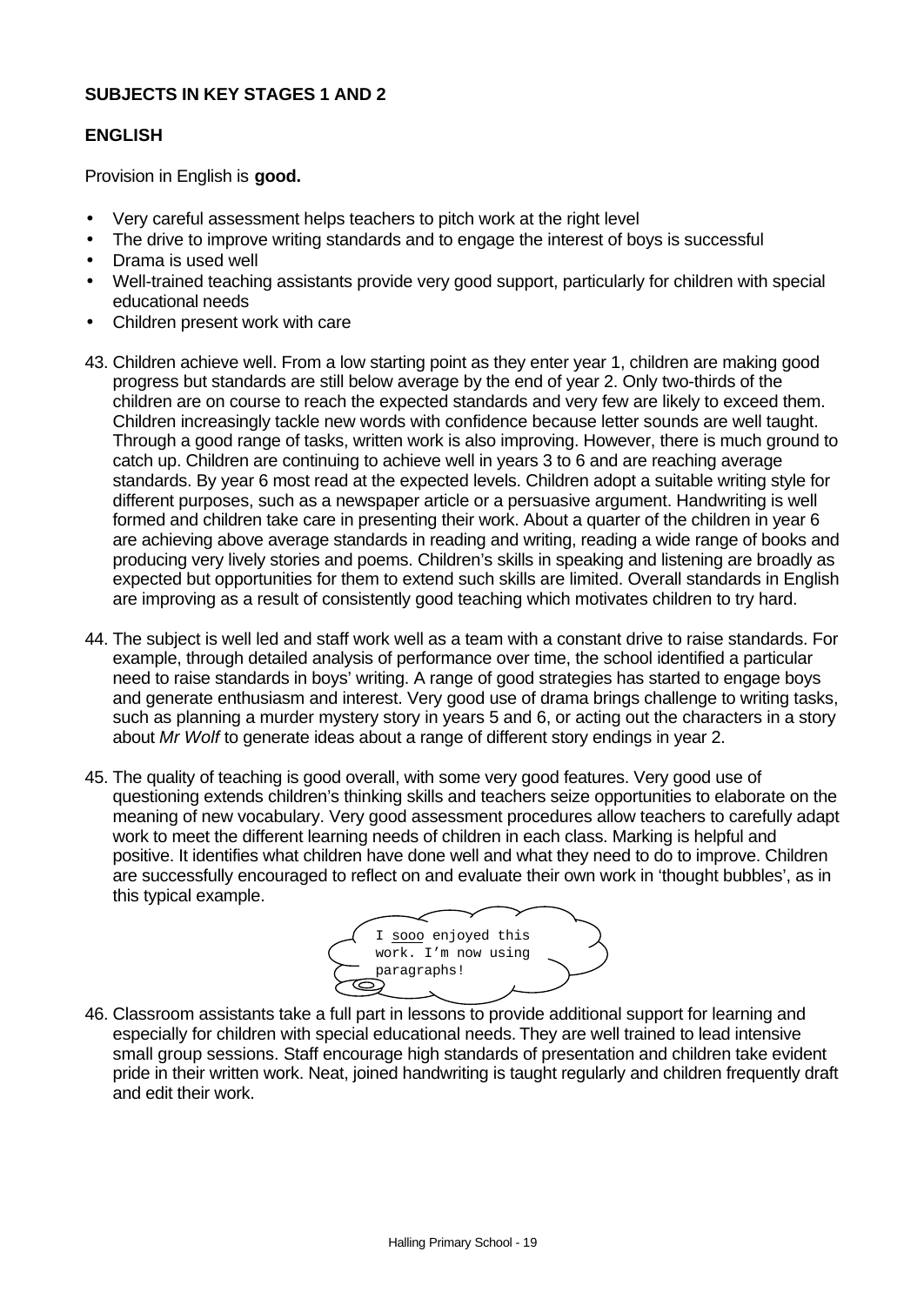# **SUBJECTS IN KEY STAGES 1 AND 2**

#### **ENGLISH**

Provision in English is **good.**

- Very careful assessment helps teachers to pitch work at the right level
- The drive to improve writing standards and to engage the interest of boys is successful
- Drama is used well
- Well-trained teaching assistants provide very good support, particularly for children with special educational needs
- Children present work with care
- 43. Children achieve well. From a low starting point as they enter year 1, children are making good progress but standards are still below average by the end of year 2. Only two-thirds of the children are on course to reach the expected standards and very few are likely to exceed them. Children increasingly tackle new words with confidence because letter sounds are well taught. Through a good range of tasks, written work is also improving. However, there is much ground to catch up. Children are continuing to achieve well in years 3 to 6 and are reaching average standards. By year 6 most read at the expected levels. Children adopt a suitable writing style for different purposes, such as a newspaper article or a persuasive argument. Handwriting is well formed and children take care in presenting their work. About a quarter of the children in year 6 are achieving above average standards in reading and writing, reading a wide range of books and producing very lively stories and poems. Children's skills in speaking and listening are broadly as expected but opportunities for them to extend such skills are limited. Overall standards in English are improving as a result of consistently good teaching which motivates children to try hard.
- 44. The subject is well led and staff work well as a team with a constant drive to raise standards. For example, through detailed analysis of performance over time, the school identified a particular need to raise standards in boys' writing. A range of good strategies has started to engage boys and generate enthusiasm and interest. Very good use of drama brings challenge to writing tasks, such as planning a murder mystery story in years 5 and 6, or acting out the characters in a story about *Mr Wolf* to generate ideas about a range of different story endings in year 2.
- 45. The quality of teaching is good overall, with some very good features. Very good use of questioning extends children's thinking skills and teachers seize opportunities to elaborate on the meaning of new vocabulary. Very good assessment procedures allow teachers to carefully adapt work to meet the different learning needs of children in each class. Marking is helpful and positive. It identifies what children have done well and what they need to do to improve. Children are successfully encouraged to reflect on and evaluate their own work in 'thought bubbles', as in this typical example.



46. Classroom assistants take a full part in lessons to provide additional support for learning and especially for children with special educational needs. They are well trained to lead intensive small group sessions. Staff encourage high standards of presentation and children take evident pride in their written work. Neat, joined handwriting is taught regularly and children frequently draft and edit their work.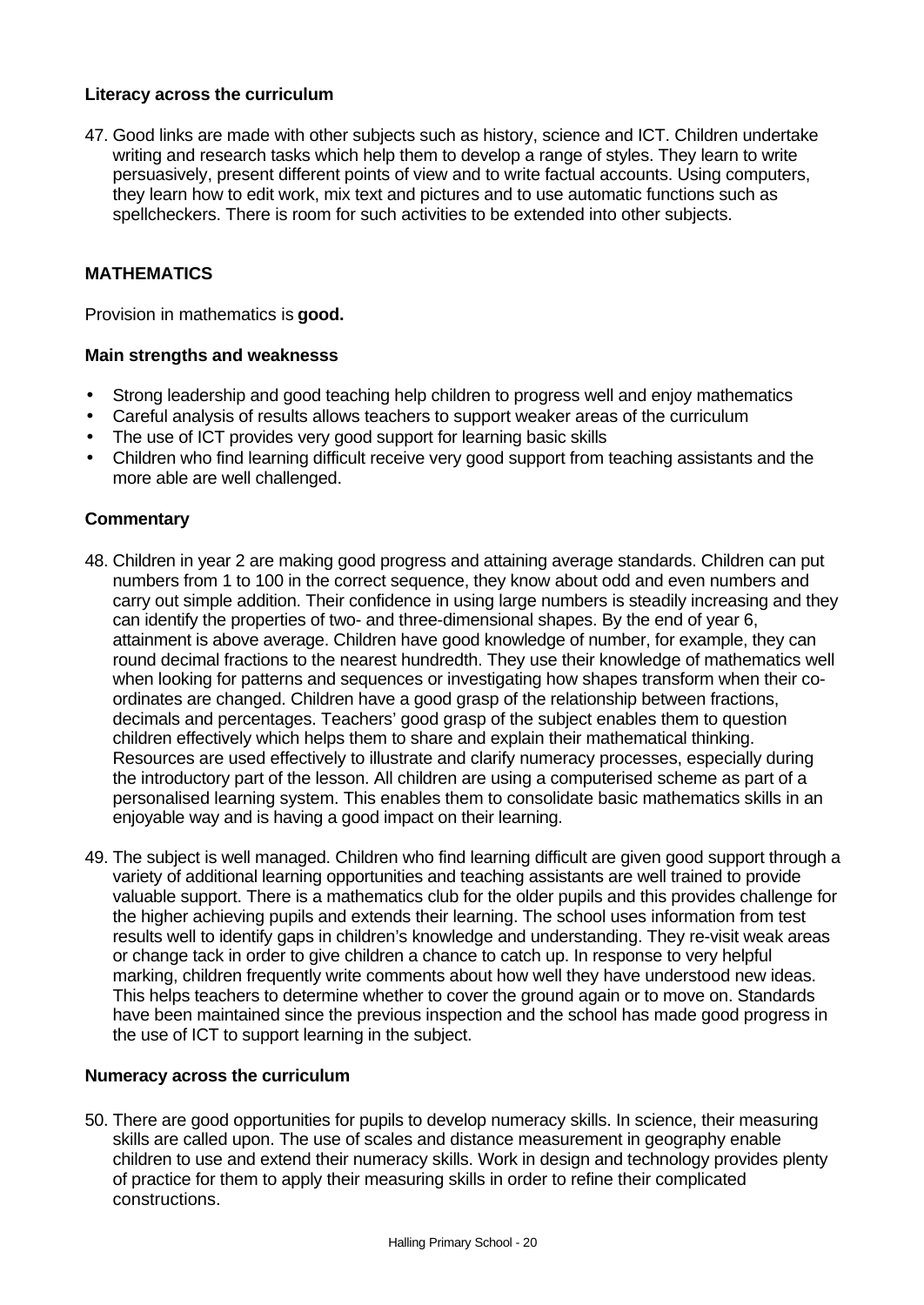# **Literacy across the curriculum**

47. Good links are made with other subjects such as history, science and ICT. Children undertake writing and research tasks which help them to develop a range of styles. They learn to write persuasively, present different points of view and to write factual accounts. Using computers, they learn how to edit work, mix text and pictures and to use automatic functions such as spellcheckers. There is room for such activities to be extended into other subjects.

# **MATHEMATICS**

Provision in mathematics is **good.**

#### **Main strengths and weaknesss**

- Strong leadership and good teaching help children to progress well and enjoy mathematics
- Careful analysis of results allows teachers to support weaker areas of the curriculum
- The use of ICT provides very good support for learning basic skills
- Children who find learning difficult receive very good support from teaching assistants and the more able are well challenged.

#### **Commentary**

- 48. Children in year 2 are making good progress and attaining average standards. Children can put numbers from 1 to 100 in the correct sequence, they know about odd and even numbers and carry out simple addition. Their confidence in using large numbers is steadily increasing and they can identify the properties of two- and three-dimensional shapes. By the end of year 6, attainment is above average. Children have good knowledge of number, for example, they can round decimal fractions to the nearest hundredth. They use their knowledge of mathematics well when looking for patterns and sequences or investigating how shapes transform when their coordinates are changed. Children have a good grasp of the relationship between fractions, decimals and percentages. Teachers' good grasp of the subject enables them to question children effectively which helps them to share and explain their mathematical thinking. Resources are used effectively to illustrate and clarify numeracy processes, especially during the introductory part of the lesson. All children are using a computerised scheme as part of a personalised learning system. This enables them to consolidate basic mathematics skills in an enjoyable way and is having a good impact on their learning.
- 49. The subject is well managed. Children who find learning difficult are given good support through a variety of additional learning opportunities and teaching assistants are well trained to provide valuable support. There is a mathematics club for the older pupils and this provides challenge for the higher achieving pupils and extends their learning. The school uses information from test results well to identify gaps in children's knowledge and understanding. They re-visit weak areas or change tack in order to give children a chance to catch up. In response to very helpful marking, children frequently write comments about how well they have understood new ideas. This helps teachers to determine whether to cover the ground again or to move on. Standards have been maintained since the previous inspection and the school has made good progress in the use of ICT to support learning in the subject.

### **Numeracy across the curriculum**

50. There are good opportunities for pupils to develop numeracy skills. In science, their measuring skills are called upon. The use of scales and distance measurement in geography enable children to use and extend their numeracy skills. Work in design and technology provides plenty of practice for them to apply their measuring skills in order to refine their complicated constructions.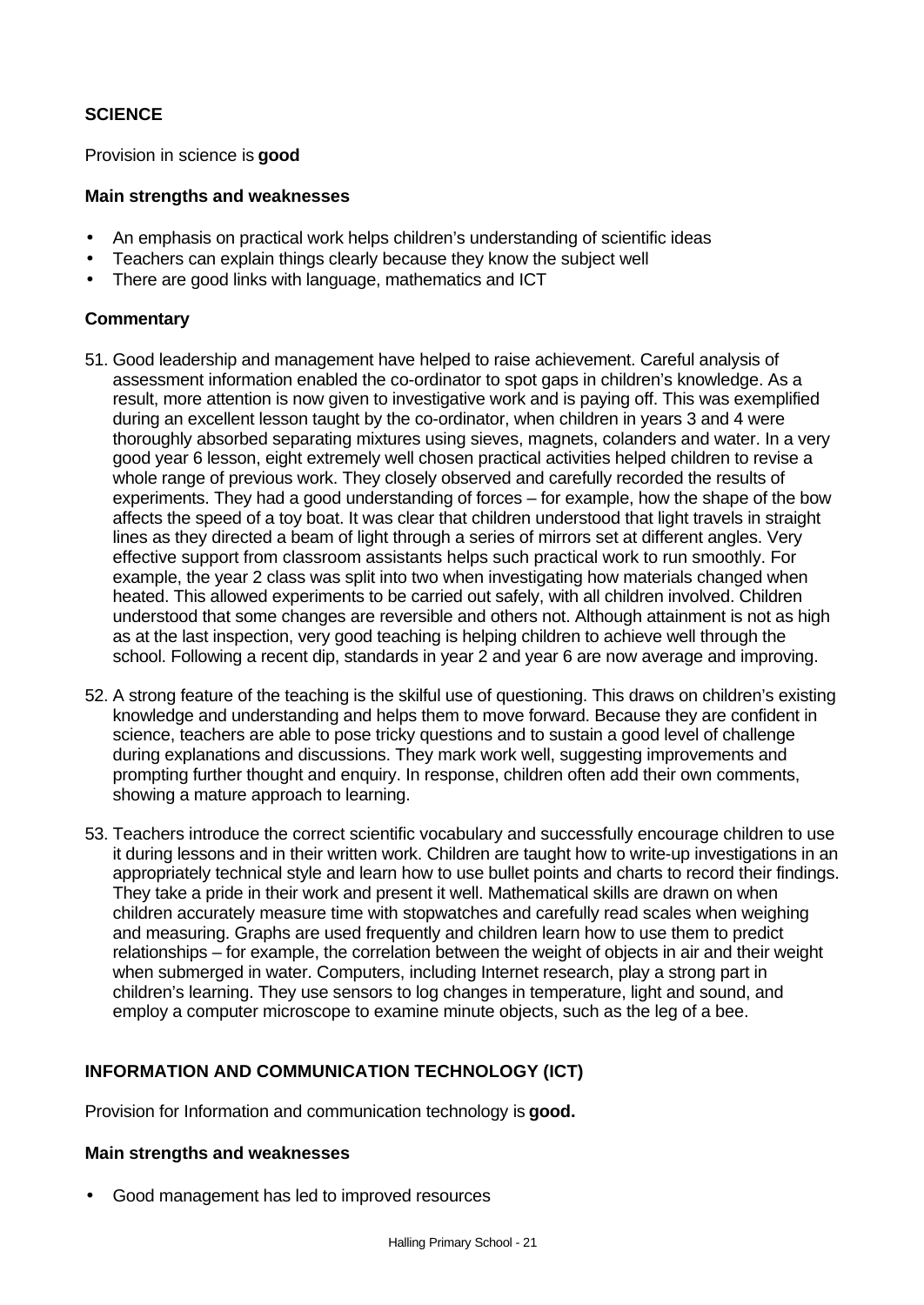# **SCIENCE**

Provision in science is **good**

# **Main strengths and weaknesses**

- An emphasis on practical work helps children's understanding of scientific ideas
- Teachers can explain things clearly because they know the subject well
- There are good links with language, mathematics and ICT

# **Commentary**

- 51. Good leadership and management have helped to raise achievement. Careful analysis of assessment information enabled the co-ordinator to spot gaps in children's knowledge. As a result, more attention is now given to investigative work and is paying off. This was exemplified during an excellent lesson taught by the co-ordinator, when children in years 3 and 4 were thoroughly absorbed separating mixtures using sieves, magnets, colanders and water. In a very good year 6 lesson, eight extremely well chosen practical activities helped children to revise a whole range of previous work. They closely observed and carefully recorded the results of experiments. They had a good understanding of forces – for example, how the shape of the bow affects the speed of a toy boat. It was clear that children understood that light travels in straight lines as they directed a beam of light through a series of mirrors set at different angles. Very effective support from classroom assistants helps such practical work to run smoothly. For example, the year 2 class was split into two when investigating how materials changed when heated. This allowed experiments to be carried out safely, with all children involved. Children understood that some changes are reversible and others not. Although attainment is not as high as at the last inspection, very good teaching is helping children to achieve well through the school. Following a recent dip, standards in year 2 and year 6 are now average and improving.
- 52. A strong feature of the teaching is the skilful use of questioning. This draws on children's existing knowledge and understanding and helps them to move forward. Because they are confident in science, teachers are able to pose tricky questions and to sustain a good level of challenge during explanations and discussions. They mark work well, suggesting improvements and prompting further thought and enquiry. In response, children often add their own comments, showing a mature approach to learning.
- 53. Teachers introduce the correct scientific vocabulary and successfully encourage children to use it during lessons and in their written work. Children are taught how to write-up investigations in an appropriately technical style and learn how to use bullet points and charts to record their findings. They take a pride in their work and present it well. Mathematical skills are drawn on when children accurately measure time with stopwatches and carefully read scales when weighing and measuring. Graphs are used frequently and children learn how to use them to predict relationships – for example, the correlation between the weight of objects in air and their weight when submerged in water. Computers, including Internet research, play a strong part in children's learning. They use sensors to log changes in temperature, light and sound, and employ a computer microscope to examine minute objects, such as the leg of a bee.

# **INFORMATION AND COMMUNICATION TECHNOLOGY (ICT)**

Provision for Information and communication technology is **good.**

# **Main strengths and weaknesses**

• Good management has led to improved resources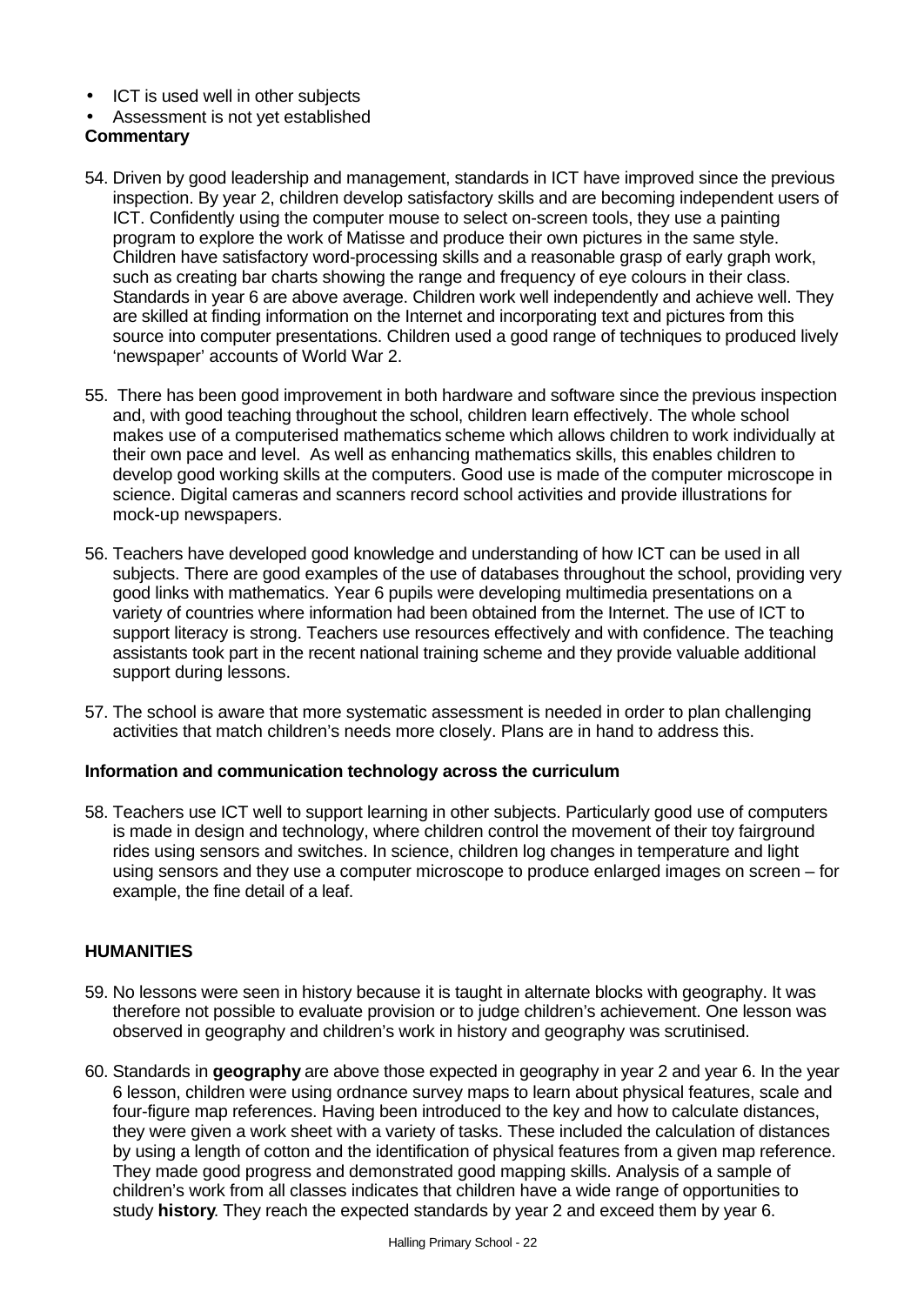- ICT is used well in other subjects
- Assessment is not yet established

# **Commentary**

- 54. Driven by good leadership and management, standards in ICT have improved since the previous inspection. By year 2, children develop satisfactory skills and are becoming independent users of ICT. Confidently using the computer mouse to select on-screen tools, they use a painting program to explore the work of Matisse and produce their own pictures in the same style. Children have satisfactory word-processing skills and a reasonable grasp of early graph work, such as creating bar charts showing the range and frequency of eye colours in their class. Standards in year 6 are above average. Children work well independently and achieve well. They are skilled at finding information on the Internet and incorporating text and pictures from this source into computer presentations. Children used a good range of techniques to produced lively 'newspaper' accounts of World War 2.
- 55. There has been good improvement in both hardware and software since the previous inspection and, with good teaching throughout the school, children learn effectively. The whole school makes use of a computerised mathematics scheme which allows children to work individually at their own pace and level. As well as enhancing mathematics skills, this enables children to develop good working skills at the computers. Good use is made of the computer microscope in science. Digital cameras and scanners record school activities and provide illustrations for mock-up newspapers.
- 56. Teachers have developed good knowledge and understanding of how ICT can be used in all subjects. There are good examples of the use of databases throughout the school, providing very good links with mathematics. Year 6 pupils were developing multimedia presentations on a variety of countries where information had been obtained from the Internet. The use of ICT to support literacy is strong. Teachers use resources effectively and with confidence. The teaching assistants took part in the recent national training scheme and they provide valuable additional support during lessons.
- 57. The school is aware that more systematic assessment is needed in order to plan challenging activities that match children's needs more closely. Plans are in hand to address this.

# **Information and communication technology across the curriculum**

58. Teachers use ICT well to support learning in other subjects. Particularly good use of computers is made in design and technology, where children control the movement of their toy fairground rides using sensors and switches. In science, children log changes in temperature and light using sensors and they use a computer microscope to produce enlarged images on screen – for example, the fine detail of a leaf.

# **HUMANITIES**

- 59. No lessons were seen in history because it is taught in alternate blocks with geography. It was therefore not possible to evaluate provision or to judge children's achievement. One lesson was observed in geography and children's work in history and geography was scrutinised.
- 60. Standards in **geography** are above those expected in geography in year 2 and year 6. In the year 6 lesson, children were using ordnance survey maps to learn about physical features, scale and four-figure map references. Having been introduced to the key and how to calculate distances, they were given a work sheet with a variety of tasks. These included the calculation of distances by using a length of cotton and the identification of physical features from a given map reference. They made good progress and demonstrated good mapping skills. Analysis of a sample of children's work from all classes indicates that children have a wide range of opportunities to study **history**. They reach the expected standards by year 2 and exceed them by year 6.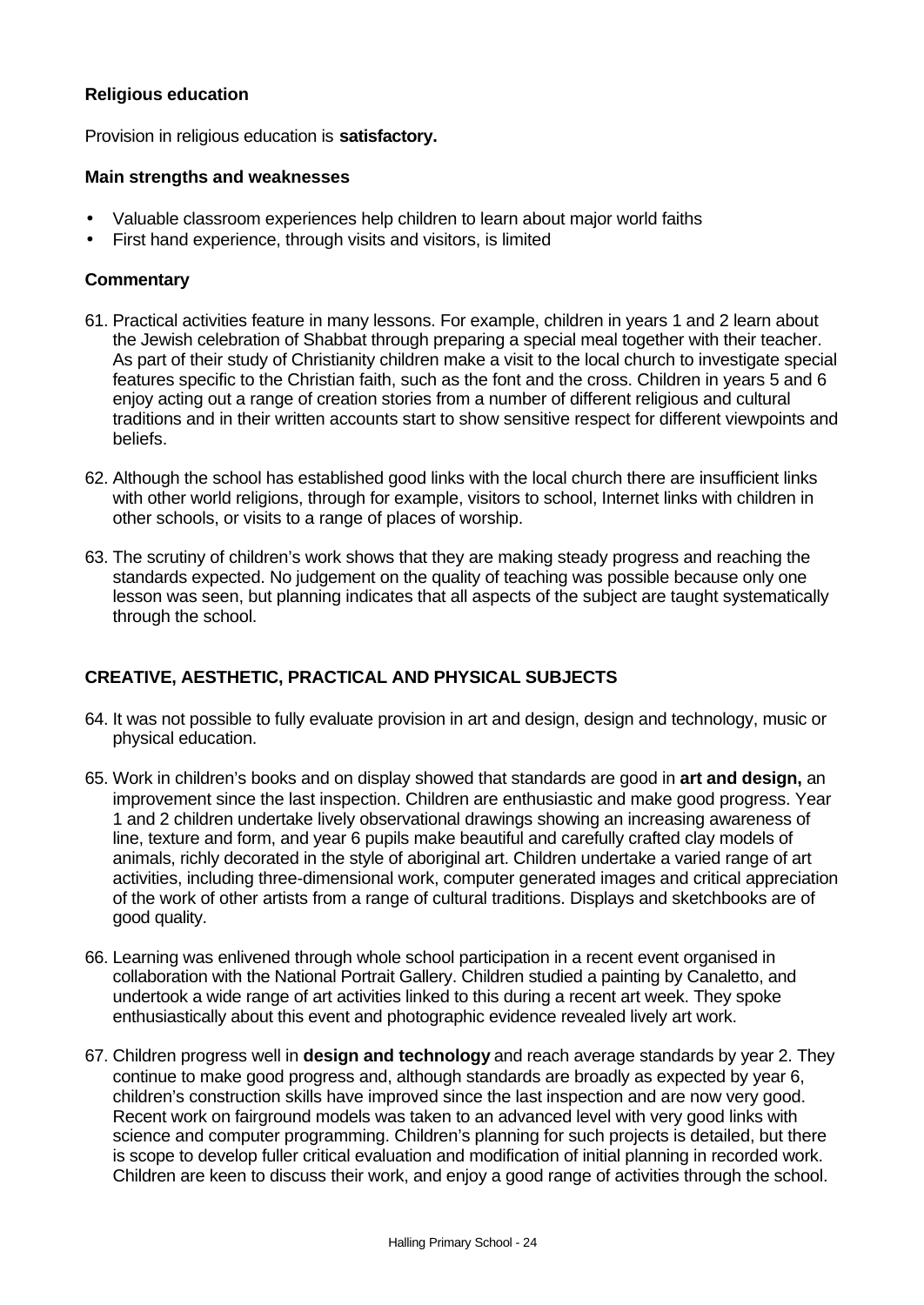# **Religious education**

Provision in religious education is **satisfactory.**

# **Main strengths and weaknesses**

- Valuable classroom experiences help children to learn about major world faiths
- First hand experience, through visits and visitors, is limited

# **Commentary**

- 61. Practical activities feature in many lessons. For example, children in years 1 and 2 learn about the Jewish celebration of Shabbat through preparing a special meal together with their teacher. As part of their study of Christianity children make a visit to the local church to investigate special features specific to the Christian faith, such as the font and the cross. Children in years 5 and 6 enjoy acting out a range of creation stories from a number of different religious and cultural traditions and in their written accounts start to show sensitive respect for different viewpoints and beliefs.
- 62. Although the school has established good links with the local church there are insufficient links with other world religions, through for example, visitors to school, Internet links with children in other schools, or visits to a range of places of worship.
- 63. The scrutiny of children's work shows that they are making steady progress and reaching the standards expected. No judgement on the quality of teaching was possible because only one lesson was seen, but planning indicates that all aspects of the subject are taught systematically through the school.

# **CREATIVE, AESTHETIC, PRACTICAL AND PHYSICAL SUBJECTS**

- 64. It was not possible to fully evaluate provision in art and design, design and technology, music or physical education.
- 65. Work in children's books and on display showed that standards are good in **art and design,** an improvement since the last inspection. Children are enthusiastic and make good progress. Year 1 and 2 children undertake lively observational drawings showing an increasing awareness of line, texture and form, and year 6 pupils make beautiful and carefully crafted clay models of animals, richly decorated in the style of aboriginal art. Children undertake a varied range of art activities, including three-dimensional work, computer generated images and critical appreciation of the work of other artists from a range of cultural traditions. Displays and sketchbooks are of good quality.
- 66. Learning was enlivened through whole school participation in a recent event organised in collaboration with the National Portrait Gallery. Children studied a painting by Canaletto, and undertook a wide range of art activities linked to this during a recent art week. They spoke enthusiastically about this event and photographic evidence revealed lively art work.
- 67. Children progress well in **design and technology** and reach average standards by year 2. They continue to make good progress and, although standards are broadly as expected by year 6, children's construction skills have improved since the last inspection and are now very good. Recent work on fairground models was taken to an advanced level with very good links with science and computer programming. Children's planning for such projects is detailed, but there is scope to develop fuller critical evaluation and modification of initial planning in recorded work. Children are keen to discuss their work, and enjoy a good range of activities through the school.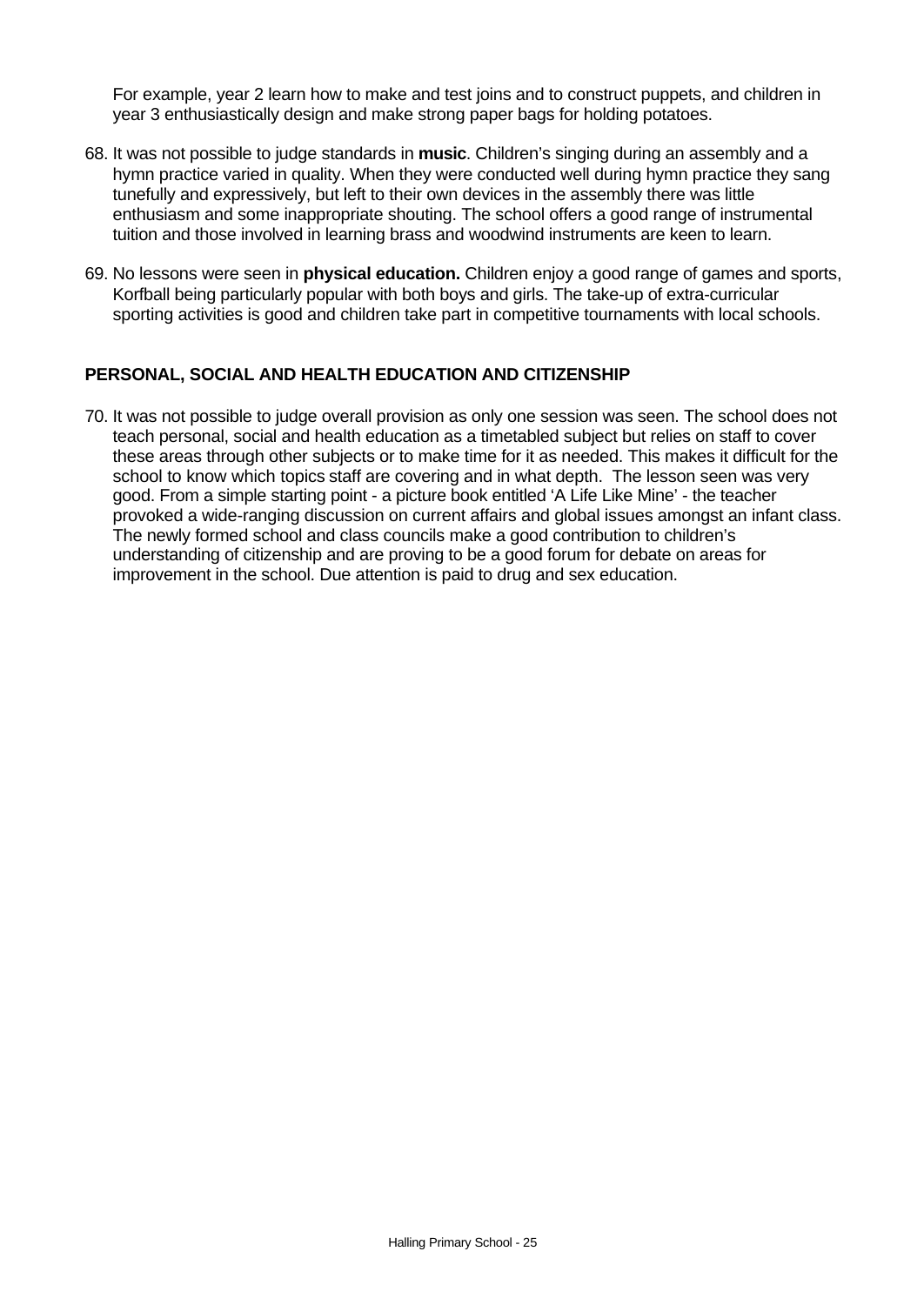For example, year 2 learn how to make and test joins and to construct puppets, and children in year 3 enthusiastically design and make strong paper bags for holding potatoes.

- 68. It was not possible to judge standards in **music**. Children's singing during an assembly and a hymn practice varied in quality. When they were conducted well during hymn practice they sang tunefully and expressively, but left to their own devices in the assembly there was little enthusiasm and some inappropriate shouting. The school offers a good range of instrumental tuition and those involved in learning brass and woodwind instruments are keen to learn.
- 69. No lessons were seen in **physical education.** Children enjoy a good range of games and sports, Korfball being particularly popular with both boys and girls. The take-up of extra-curricular sporting activities is good and children take part in competitive tournaments with local schools.

# **PERSONAL, SOCIAL AND HEALTH EDUCATION AND CITIZENSHIP**

70. It was not possible to judge overall provision as only one session was seen. The school does not teach personal, social and health education as a timetabled subject but relies on staff to cover these areas through other subjects or to make time for it as needed. This makes it difficult for the school to know which topics staff are covering and in what depth. The lesson seen was very good. From a simple starting point - a picture book entitled 'A Life Like Mine' - the teacher provoked a wide-ranging discussion on current affairs and global issues amongst an infant class. The newly formed school and class councils make a good contribution to children's understanding of citizenship and are proving to be a good forum for debate on areas for improvement in the school. Due attention is paid to drug and sex education.